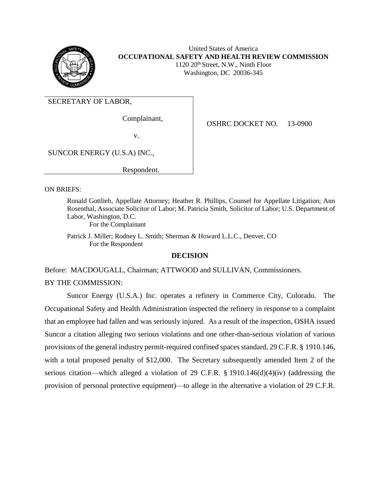

United States of America **OCCUPATIONAL SAFETY AND HEALTH REVIEW COMMISSION** 1120 20th Street, N.W., Ninth Floor Washington, DC 20036-345

SECRETARY OF LABOR,

Complainant,

OSHRC DOCKET NO. 13-0900

v.

SUNCOR ENERGY (U.S.A) INC.,

Respondent.

ON BRIEFS:

Ronald Gottlieb, Appellate Attorney; Heather R. Phillips, Counsel for Appellate Litigation; Ann Rosenthal, Associate Solicitor of Labor; M. Patricia Smith, Solicitor of Labor; U.S. Department of Labor, Washington, D.C.

For the Complainant

Patrick J. Miller; Rodney L. Smith; Sherman & Howard L.L.C., Denver, CO For the Respondent

## **DECISION**

Before: MACDOUGALL, Chairman; ATTWOOD and SULLIVAN, Commissioners.

BY THE COMMISSION:

Suncor Energy (U.S.A.) Inc. operates a refinery in Commerce City, Colorado. The Occupational Safety and Health Administration inspected the refinery in response to a complaint that an employee had fallen and was seriously injured. As a result of the inspection, OSHA issued Suncor a citation alleging two serious violations and one other-than-serious violation of various provisions of the general industry permit-required confined spaces standard, 29 C.F.R. § 1910.146, with a total proposed penalty of \$12,000. The Secretary subsequently amended Item 2 of the serious citation—which alleged a violation of 29 C.F.R. § 1910.146(d)(4)(iv) (addressing the provision of personal protective equipment)—to allege in the alternative a violation of 29 C.F.R.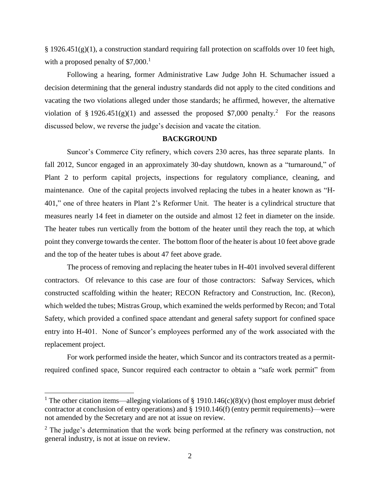§ 1926.451(g)(1), a construction standard requiring fall protection on scaffolds over 10 feet high, with a proposed penalty of  $$7,000$ <sup>1</sup>

Following a hearing, former Administrative Law Judge John H. Schumacher issued a decision determining that the general industry standards did not apply to the cited conditions and vacating the two violations alleged under those standards; he affirmed, however, the alternative violation of § 1926.451(g)(1) and assessed the proposed \$7,000 penalty.<sup>2</sup> For the reasons discussed below, we reverse the judge's decision and vacate the citation.

#### **BACKGROUND**

Suncor's Commerce City refinery, which covers 230 acres, has three separate plants. In fall 2012, Suncor engaged in an approximately 30-day shutdown, known as a "turnaround," of Plant 2 to perform capital projects, inspections for regulatory compliance, cleaning, and maintenance. One of the capital projects involved replacing the tubes in a heater known as "H-401," one of three heaters in Plant 2's Reformer Unit. The heater is a cylindrical structure that measures nearly 14 feet in diameter on the outside and almost 12 feet in diameter on the inside. The heater tubes run vertically from the bottom of the heater until they reach the top, at which point they converge towards the center. The bottom floor of the heater is about 10 feet above grade and the top of the heater tubes is about 47 feet above grade.

The process of removing and replacing the heater tubes in H-401 involved several different contractors. Of relevance to this case are four of those contractors: Safway Services, which constructed scaffolding within the heater; RECON Refractory and Construction, Inc. (Recon), which welded the tubes; Mistras Group, which examined the welds performed by Recon; and Total Safety, which provided a confined space attendant and general safety support for confined space entry into H-401. None of Suncor's employees performed any of the work associated with the replacement project.

For work performed inside the heater, which Suncor and its contractors treated as a permitrequired confined space, Suncor required each contractor to obtain a "safe work permit" from

 $\overline{\phantom{a}}$ 

<sup>&</sup>lt;sup>1</sup> The other citation items—alleging violations of § 1910.146(c)(8)(v) (host employer must debrief contractor at conclusion of entry operations) and § 1910.146(f) (entry permit requirements)—were not amended by the Secretary and are not at issue on review.

 $2$  The judge's determination that the work being performed at the refinery was construction, not general industry, is not at issue on review.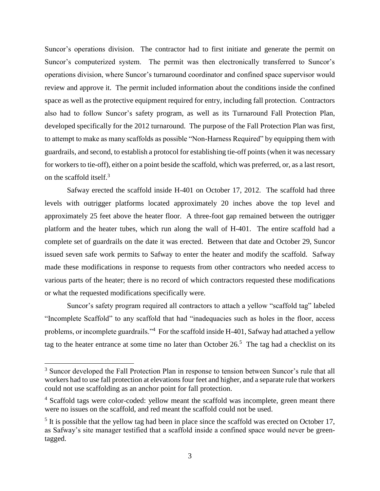Suncor's operations division. The contractor had to first initiate and generate the permit on Suncor's computerized system. The permit was then electronically transferred to Suncor's operations division, where Suncor's turnaround coordinator and confined space supervisor would review and approve it. The permit included information about the conditions inside the confined space as well as the protective equipment required for entry, including fall protection. Contractors also had to follow Suncor's safety program, as well as its Turnaround Fall Protection Plan, developed specifically for the 2012 turnaround. The purpose of the Fall Protection Plan was first, to attempt to make as many scaffolds as possible "Non-Harness Required" by equipping them with guardrails, and second, to establish a protocol for establishing tie-off points (when it was necessary for workers to tie-off), either on a point beside the scaffold, which was preferred, or, as a last resort, on the scaffold itself.<sup>3</sup>

Safway erected the scaffold inside H-401 on October 17, 2012. The scaffold had three levels with outrigger platforms located approximately 20 inches above the top level and approximately 25 feet above the heater floor. A three-foot gap remained between the outrigger platform and the heater tubes, which run along the wall of H-401. The entire scaffold had a complete set of guardrails on the date it was erected. Between that date and October 29, Suncor issued seven safe work permits to Safway to enter the heater and modify the scaffold. Safway made these modifications in response to requests from other contractors who needed access to various parts of the heater; there is no record of which contractors requested these modifications or what the requested modifications specifically were.

Suncor's safety program required all contractors to attach a yellow "scaffold tag" labeled "Incomplete Scaffold" to any scaffold that had "inadequacies such as holes in the floor, access problems, or incomplete guardrails."<sup>4</sup> For the scaffold inside H-401, Safway had attached a yellow tag to the heater entrance at some time no later than October  $26<sup>5</sup>$ . The tag had a checklist on its

 $\overline{a}$ 

<sup>&</sup>lt;sup>3</sup> Suncor developed the Fall Protection Plan in response to tension between Suncor's rule that all workers had to use fall protection at elevations four feet and higher, and a separate rule that workers could not use scaffolding as an anchor point for fall protection.

<sup>&</sup>lt;sup>4</sup> Scaffold tags were color-coded: yellow meant the scaffold was incomplete, green meant there were no issues on the scaffold, and red meant the scaffold could not be used.

 $<sup>5</sup>$  It is possible that the yellow tag had been in place since the scaffold was erected on October 17,</sup> as Safway's site manager testified that a scaffold inside a confined space would never be greentagged.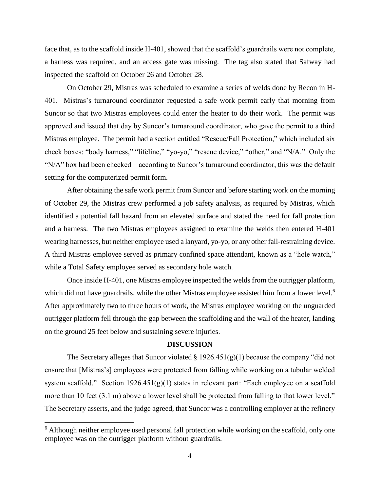face that, as to the scaffold inside H-401, showed that the scaffold's guardrails were not complete, a harness was required, and an access gate was missing. The tag also stated that Safway had inspected the scaffold on October 26 and October 28.

On October 29, Mistras was scheduled to examine a series of welds done by Recon in H-401. Mistras's turnaround coordinator requested a safe work permit early that morning from Suncor so that two Mistras employees could enter the heater to do their work. The permit was approved and issued that day by Suncor's turnaround coordinator, who gave the permit to a third Mistras employee. The permit had a section entitled "Rescue/Fall Protection," which included six check boxes: "body harness," "lifeline," "yo-yo," "rescue device," "other," and "N/A." Only the "N/A" box had been checked—according to Suncor's turnaround coordinator, this was the default setting for the computerized permit form.

After obtaining the safe work permit from Suncor and before starting work on the morning of October 29, the Mistras crew performed a job safety analysis, as required by Mistras, which identified a potential fall hazard from an elevated surface and stated the need for fall protection and a harness. The two Mistras employees assigned to examine the welds then entered H-401 wearing harnesses, but neither employee used a lanyard, yo-yo, or any other fall-restraining device. A third Mistras employee served as primary confined space attendant, known as a "hole watch," while a Total Safety employee served as secondary hole watch.

Once inside H-401, one Mistras employee inspected the welds from the outrigger platform, which did not have guardrails, while the other Mistras employee assisted him from a lower level.<sup>6</sup> After approximately two to three hours of work, the Mistras employee working on the unguarded outrigger platform fell through the gap between the scaffolding and the wall of the heater, landing on the ground 25 feet below and sustaining severe injuries.

### **DISCUSSION**

The Secretary alleges that Suncor violated  $\S 1926.451(g)(1)$  because the company "did not ensure that [Mistras's] employees were protected from falling while working on a tubular welded system scaffold." Section 1926.451(g)(1) states in relevant part: "Each employee on a scaffold more than 10 feet (3.1 m) above a lower level shall be protected from falling to that lower level." The Secretary asserts, and the judge agreed, that Suncor was a controlling employer at the refinery

 $\overline{a}$ 

<sup>&</sup>lt;sup>6</sup> Although neither employee used personal fall protection while working on the scaffold, only one employee was on the outrigger platform without guardrails.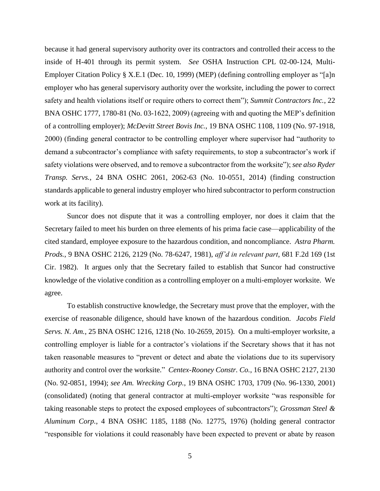because it had general supervisory authority over its contractors and controlled their access to the inside of H-401 through its permit system. *See* OSHA Instruction CPL 02-00-124, Multi-Employer Citation Policy § X.E.1 (Dec. 10, 1999) (MEP) (defining controlling employer as "[a]n employer who has general supervisory authority over the worksite, including the power to correct safety and health violations itself or require others to correct them"); *Summit Contractors Inc.*, 22 BNA OSHC 1777, 1780-81 (No. 03-1622, 2009) (agreeing with and quoting the MEP's definition of a controlling employer); *McDevitt Street Bovis Inc.*, 19 BNA OSHC 1108, 1109 (No. 97-1918, 2000) (finding general contractor to be controlling employer where supervisor had "authority to demand a subcontractor's compliance with safety requirements, to stop a subcontractor's work if safety violations were observed, and to remove a subcontractor from the worksite"); *see also Ryder Transp. Servs.*, 24 BNA OSHC 2061, 2062-63 (No. 10-0551, 2014) (finding construction standards applicable to general industry employer who hired subcontractor to perform construction work at its facility).

Suncor does not dispute that it was a controlling employer, nor does it claim that the Secretary failed to meet his burden on three elements of his prima facie case—applicability of the cited standard, employee exposure to the hazardous condition, and noncompliance. *Astra Pharm. Prods.*, 9 BNA OSHC 2126, 2129 (No. 78-6247, 1981), *aff'd in relevant part*, 681 F.2d 169 (1st Cir. 1982). It argues only that the Secretary failed to establish that Suncor had constructive knowledge of the violative condition as a controlling employer on a multi-employer worksite. We agree.

To establish constructive knowledge, the Secretary must prove that the employer, with the exercise of reasonable diligence, should have known of the hazardous condition. *Jacobs Field Servs. N. Am.*, 25 BNA OSHC 1216, 1218 (No. 10-2659, 2015). On a multi-employer worksite, a controlling employer is liable for a contractor's violations if the Secretary shows that it has not taken reasonable measures to "prevent or detect and abate the violations due to its supervisory authority and control over the worksite." *Centex-Rooney Constr. Co.*, 16 BNA OSHC 2127, 2130 (No. 92-0851, 1994); *see Am. Wrecking Corp.*, 19 BNA OSHC 1703, 1709 (No. 96-1330, 2001) (consolidated) (noting that general contractor at multi-employer worksite "was responsible for taking reasonable steps to protect the exposed employees of subcontractors"); *Grossman Steel & Aluminum Corp.*, 4 BNA OSHC 1185, 1188 (No. 12775, 1976) (holding general contractor "responsible for violations it could reasonably have been expected to prevent or abate by reason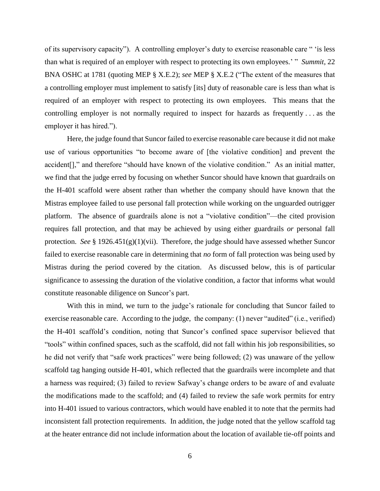of its supervisory capacity"). A controlling employer's duty to exercise reasonable care " 'is less than what is required of an employer with respect to protecting its own employees.' " *Summit*, 22 BNA OSHC at 1781 (quoting MEP § X.E.2); *see* MEP § X.E.2 ("The extent of the measures that a controlling employer must implement to satisfy [its] duty of reasonable care is less than what is required of an employer with respect to protecting its own employees. This means that the controlling employer is not normally required to inspect for hazards as frequently . . . as the employer it has hired.").

Here, the judge found that Suncor failed to exercise reasonable care because it did not make use of various opportunities "to become aware of [the violative condition] and prevent the accident[]," and therefore "should have known of the violative condition." As an initial matter, we find that the judge erred by focusing on whether Suncor should have known that guardrails on the H-401 scaffold were absent rather than whether the company should have known that the Mistras employee failed to use personal fall protection while working on the unguarded outrigger platform. The absence of guardrails alone is not a "violative condition"—the cited provision requires fall protection, and that may be achieved by using either guardrails *or* personal fall protection. *See* § 1926.451(g)(1)(vii). Therefore, the judge should have assessed whether Suncor failed to exercise reasonable care in determining that *no* form of fall protection was being used by Mistras during the period covered by the citation. As discussed below, this is of particular significance to assessing the duration of the violative condition, a factor that informs what would constitute reasonable diligence on Suncor's part.

With this in mind, we turn to the judge's rationale for concluding that Suncor failed to exercise reasonable care. According to the judge, the company: (1) never "audited" (i.e., verified) the H-401 scaffold's condition, noting that Suncor's confined space supervisor believed that "tools" within confined spaces, such as the scaffold, did not fall within his job responsibilities, so he did not verify that "safe work practices" were being followed; (2) was unaware of the yellow scaffold tag hanging outside H-401, which reflected that the guardrails were incomplete and that a harness was required; (3) failed to review Safway's change orders to be aware of and evaluate the modifications made to the scaffold; and (4) failed to review the safe work permits for entry into H-401 issued to various contractors, which would have enabled it to note that the permits had inconsistent fall protection requirements. In addition, the judge noted that the yellow scaffold tag at the heater entrance did not include information about the location of available tie-off points and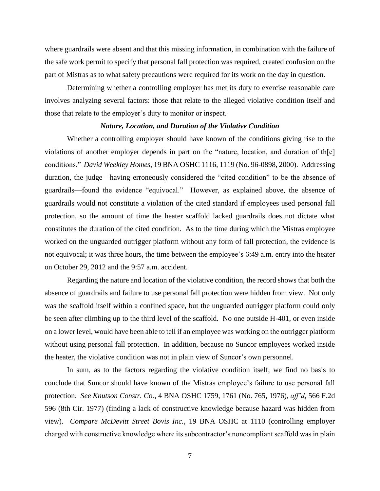where guardrails were absent and that this missing information, in combination with the failure of the safe work permit to specify that personal fall protection was required, created confusion on the part of Mistras as to what safety precautions were required for its work on the day in question.

Determining whether a controlling employer has met its duty to exercise reasonable care involves analyzing several factors: those that relate to the alleged violative condition itself and those that relate to the employer's duty to monitor or inspect.

#### *Nature, Location, and Duration of the Violative Condition*

Whether a controlling employer should have known of the conditions giving rise to the violations of another employer depends in part on the "nature, location, and duration of th[e] conditions." *David Weekley Homes*, 19 BNA OSHC 1116, 1119 (No. 96-0898, 2000). Addressing duration, the judge—having erroneously considered the "cited condition" to be the absence of guardrails—found the evidence "equivocal." However, as explained above, the absence of guardrails would not constitute a violation of the cited standard if employees used personal fall protection, so the amount of time the heater scaffold lacked guardrails does not dictate what constitutes the duration of the cited condition. As to the time during which the Mistras employee worked on the unguarded outrigger platform without any form of fall protection, the evidence is not equivocal; it was three hours, the time between the employee's 6:49 a.m. entry into the heater on October 29, 2012 and the 9:57 a.m. accident.

Regarding the nature and location of the violative condition, the record shows that both the absence of guardrails and failure to use personal fall protection were hidden from view. Not only was the scaffold itself within a confined space, but the unguarded outrigger platform could only be seen after climbing up to the third level of the scaffold. No one outside H-401, or even inside on a lower level, would have been able to tell if an employee was working on the outrigger platform without using personal fall protection. In addition, because no Suncor employees worked inside the heater, the violative condition was not in plain view of Suncor's own personnel.

In sum, as to the factors regarding the violative condition itself, we find no basis to conclude that Suncor should have known of the Mistras employee's failure to use personal fall protection. *See Knutson Constr. Co.*, 4 BNA OSHC 1759, 1761 (No. 765, 1976), *aff'd*, 566 F.2d 596 (8th Cir. 1977) (finding a lack of constructive knowledge because hazard was hidden from view). *Compare McDevitt Street Bovis Inc.*, 19 BNA OSHC at 1110 (controlling employer charged with constructive knowledge where its subcontractor's noncompliant scaffold was in plain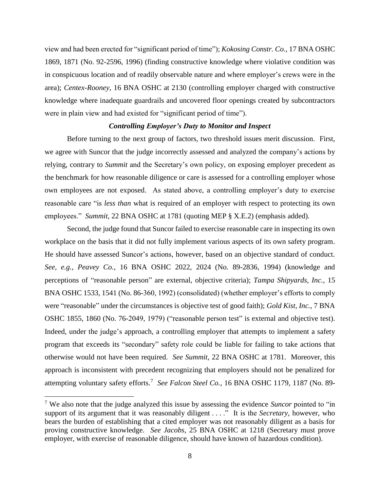view and had been erected for "significant period of time"); *Kokosing Constr. Co.*, 17 BNA OSHC 1869, 1871 (No. 92-2596, 1996) (finding constructive knowledge where violative condition was in conspicuous location and of readily observable nature and where employer's crews were in the area); *Centex-Rooney*, 16 BNA OSHC at 2130 (controlling employer charged with constructive knowledge where inadequate guardrails and uncovered floor openings created by subcontractors were in plain view and had existed for "significant period of time").

#### *Controlling Employer's Duty to Monitor and Inspect*

Before turning to the next group of factors, two threshold issues merit discussion. First, we agree with Suncor that the judge incorrectly assessed and analyzed the company's actions by relying, contrary to *Summit* and the Secretary's own policy, on exposing employer precedent as the benchmark for how reasonable diligence or care is assessed for a controlling employer whose own employees are not exposed. As stated above, a controlling employer's duty to exercise reasonable care "is *less than* what is required of an employer with respect to protecting its own employees." *Summit*, 22 BNA OSHC at 1781 (quoting MEP § X.E.2) (emphasis added).

Second, the judge found that Suncor failed to exercise reasonable care in inspecting its own workplace on the basis that it did not fully implement various aspects of its own safety program. He should have assessed Suncor's actions, however, based on an objective standard of conduct. *See, e.g.*, *Peavey Co.*, 16 BNA OSHC 2022, 2024 (No. 89-2836, 1994) (knowledge and perceptions of "reasonable person" are external, objective criteria); *Tampa Shipyards, Inc.*, 15 BNA OSHC 1533, 1541 (No. 86-360, 1992) (consolidated) (whether employer's efforts to comply were "reasonable" under the circumstances is objective test of good faith); *Gold Kist, Inc.*, 7 BNA OSHC 1855, 1860 (No. 76-2049, 1979) ("reasonable person test" is external and objective test). Indeed, under the judge's approach, a controlling employer that attempts to implement a safety program that exceeds its "secondary" safety role could be liable for failing to take actions that otherwise would not have been required. *See Summit*, 22 BNA OSHC at 1781. Moreover, this approach is inconsistent with precedent recognizing that employers should not be penalized for attempting voluntary safety efforts.<sup>7</sup> See Falcon Steel Co., 16 BNA OSHC 1179, 1187 (No. 89-

 $\overline{\phantom{a}}$ 

<sup>7</sup> We also note that the judge analyzed this issue by assessing the evidence *Suncor* pointed to "in support of its argument that it was reasonably diligent . . . .<sup>"</sup> It is the *Secretary*, however, who bears the burden of establishing that a cited employer was not reasonably diligent as a basis for proving constructive knowledge. *See Jacobs*, 25 BNA OSHC at 1218 (Secretary must prove employer, with exercise of reasonable diligence, should have known of hazardous condition).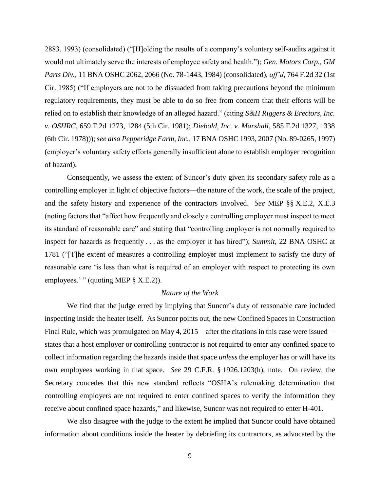2883, 1993) (consolidated) ("[H]olding the results of a company's voluntary self-audits against it would not ultimately serve the interests of employee safety and health."); *Gen. Motors Corp., GM Parts Div.*, 11 BNA OSHC 2062, 2066 (No. 78-1443, 1984) (consolidated), *aff'd*, 764 F.2d 32 (1st Cir. 1985) ("If employers are not to be dissuaded from taking precautions beyond the minimum regulatory requirements, they must be able to do so free from concern that their efforts will be relied on to establish their knowledge of an alleged hazard." (citing *S&H Riggers & Erectors, Inc. v. OSHRC*, 659 F.2d 1273, 1284 (5th Cir. 1981); *Diebold, Inc. v. Marshall*, 585 F.2d 1327, 1338 (6th Cir. 1978))); *see also Pepperidge Farm, Inc.,* 17 BNA OSHC 1993, 2007 (No. 89-0265, 1997) (employer's voluntary safety efforts generally insufficient alone to establish employer recognition of hazard).

Consequently, we assess the extent of Suncor's duty given its secondary safety role as a controlling employer in light of objective factors—the nature of the work, the scale of the project, and the safety history and experience of the contractors involved. *See* MEP §§ X.E.2, X.E.3 (noting factors that "affect how frequently and closely a controlling employer must inspect to meet its standard of reasonable care" and stating that "controlling employer is not normally required to inspect for hazards as frequently . . . as the employer it has hired"); *Summit*, 22 BNA OSHC at 1781 ("[T]he extent of measures a controlling employer must implement to satisfy the duty of reasonable care 'is less than what is required of an employer with respect to protecting its own employees.' " (quoting MEP  $\S$  X.E.2)).

### *Nature of the Work*

We find that the judge erred by implying that Suncor's duty of reasonable care included inspecting inside the heater itself. As Suncor points out, the new Confined Spaces in Construction Final Rule, which was promulgated on May 4, 2015—after the citations in this case were issued states that a host employer or controlling contractor is not required to enter any confined space to collect information regarding the hazards inside that space *unless* the employer has or will have its own employees working in that space. *See* 29 C.F.R. § 1926.1203(h), note. On review, the Secretary concedes that this new standard reflects "OSHA's rulemaking determination that controlling employers are not required to enter confined spaces to verify the information they receive about confined space hazards," and likewise, Suncor was not required to enter H-401.

We also disagree with the judge to the extent he implied that Suncor could have obtained information about conditions inside the heater by debriefing its contractors, as advocated by the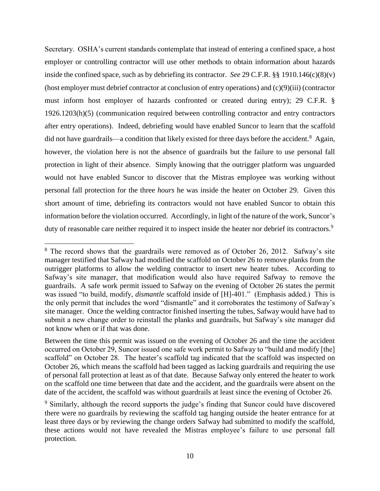Secretary. OSHA's current standards contemplate that instead of entering a confined space, a host employer or controlling contractor will use other methods to obtain information about hazards inside the confined space, such as by debriefing its contractor. *See* 29 C.F.R. §§ 1910.146(c)(8)(v) (host employer must debrief contractor at conclusion of entry operations) and (c)(9)(iii) (contractor must inform host employer of hazards confronted or created during entry); 29 C.F.R. § 1926.1203(h)(5) (communication required between controlling contractor and entry contractors after entry operations). Indeed, debriefing would have enabled Suncor to learn that the scaffold did not have guardrails—a condition that likely existed for three days before the accident.<sup>8</sup> Again, however, the violation here is not the absence of guardrails but the failure to use personal fall protection in light of their absence. Simply knowing that the outrigger platform was unguarded would not have enabled Suncor to discover that the Mistras employee was working without personal fall protection for the three *hours* he was inside the heater on October 29. Given this short amount of time, debriefing its contractors would not have enabled Suncor to obtain this information before the violation occurred. Accordingly, in light of the nature of the work, Suncor's duty of reasonable care neither required it to inspect inside the heater nor debrief its contractors.<sup>9</sup>

 $\overline{\phantom{a}}$ 

 $8$  The record shows that the guardrails were removed as of October 26, 2012. Safway's site manager testified that Safway had modified the scaffold on October 26 to remove planks from the outrigger platforms to allow the welding contractor to insert new heater tubes. According to Safway's site manager, that modification would also have required Safway to remove the guardrails. A safe work permit issued to Safway on the evening of October 26 states the permit was issued "to build, modify, *dismantle* scaffold inside of [H]-401." (Emphasis added.) This is the only permit that includes the word "dismantle" and it corroborates the testimony of Safway's site manager. Once the welding contractor finished inserting the tubes, Safway would have had to submit a new change order to reinstall the planks and guardrails, but Safway's site manager did not know when or if that was done.

Between the time this permit was issued on the evening of October 26 and the time the accident occurred on October 29, Suncor issued one safe work permit to Safway to "build and modify [the] scaffold" on October 28. The heater's scaffold tag indicated that the scaffold was inspected on October 26, which means the scaffold had been tagged as lacking guardrails and requiring the use of personal fall protection at least as of that date. Because Safway only entered the heater to work on the scaffold one time between that date and the accident, and the guardrails were absent on the date of the accident, the scaffold was without guardrails at least since the evening of October 26.

<sup>&</sup>lt;sup>9</sup> Similarly, although the record supports the judge's finding that Suncor could have discovered there were no guardrails by reviewing the scaffold tag hanging outside the heater entrance for at least three days or by reviewing the change orders Safway had submitted to modify the scaffold, these actions would not have revealed the Mistras employee's failure to use personal fall protection.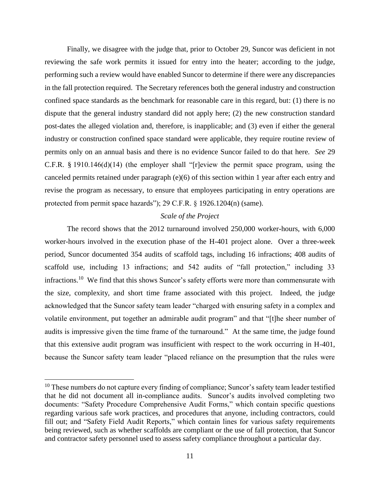Finally, we disagree with the judge that, prior to October 29, Suncor was deficient in not reviewing the safe work permits it issued for entry into the heater; according to the judge, performing such a review would have enabled Suncor to determine if there were any discrepancies in the fall protection required. The Secretary references both the general industry and construction confined space standards as the benchmark for reasonable care in this regard, but: (1) there is no dispute that the general industry standard did not apply here; (2) the new construction standard post-dates the alleged violation and, therefore, is inapplicable; and (3) even if either the general industry or construction confined space standard were applicable, they require routine review of permits only on an annual basis and there is no evidence Suncor failed to do that here. *See* 29 C.F.R. § 1910.146(d)(14) (the employer shall "[r]eview the permit space program, using the canceled permits retained under paragraph (e)(6) of this section within 1 year after each entry and revise the program as necessary, to ensure that employees participating in entry operations are protected from permit space hazards"); 29 C.F.R. § 1926.1204(n) (same).

## *Scale of the Project*

The record shows that the 2012 turnaround involved 250,000 worker-hours, with 6,000 worker-hours involved in the execution phase of the H-401 project alone. Over a three-week period, Suncor documented 354 audits of scaffold tags, including 16 infractions; 408 audits of scaffold use, including 13 infractions; and 542 audits of "fall protection," including 33 infractions.<sup>10</sup> We find that this shows Suncor's safety efforts were more than commensurate with the size, complexity, and short time frame associated with this project. Indeed, the judge acknowledged that the Suncor safety team leader "charged with ensuring safety in a complex and volatile environment, put together an admirable audit program" and that "[t]he sheer number of audits is impressive given the time frame of the turnaround." At the same time, the judge found that this extensive audit program was insufficient with respect to the work occurring in H-401, because the Suncor safety team leader "placed reliance on the presumption that the rules were

 $\overline{a}$ 

 $10$  These numbers do not capture every finding of compliance; Suncor's safety team leader testified that he did not document all in-compliance audits. Suncor's audits involved completing two documents: "Safety Procedure Comprehensive Audit Forms," which contain specific questions regarding various safe work practices, and procedures that anyone, including contractors, could fill out; and "Safety Field Audit Reports," which contain lines for various safety requirements being reviewed, such as whether scaffolds are compliant or the use of fall protection, that Suncor and contractor safety personnel used to assess safety compliance throughout a particular day.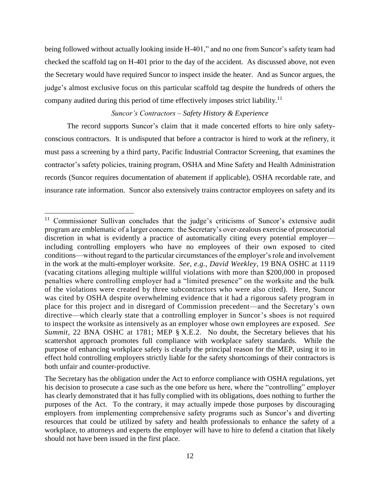being followed without actually looking inside H-401," and no one from Suncor's safety team had checked the scaffold tag on H-401 prior to the day of the accident. As discussed above, not even the Secretary would have required Suncor to inspect inside the heater. And as Suncor argues, the judge's almost exclusive focus on this particular scaffold tag despite the hundreds of others the company audited during this period of time effectively imposes strict liability.<sup>11</sup>

### *Suncor's Contractors – Safety History & Experience*

The record supports Suncor's claim that it made concerted efforts to hire only safetyconscious contractors. It is undisputed that before a contractor is hired to work at the refinery, it must pass a screening by a third party, Pacific Industrial Contractor Screening, that examines the contractor's safety policies, training program, OSHA and Mine Safety and Health Administration records (Suncor requires documentation of abatement if applicable), OSHA recordable rate, and insurance rate information. Suncor also extensively trains contractor employees on safety and its

 $\overline{\phantom{a}}$ 

<sup>&</sup>lt;sup>11</sup> Commissioner Sullivan concludes that the judge's criticisms of Suncor's extensive audit program are emblematic of a larger concern: the Secretary's over-zealous exercise of prosecutorial discretion in what is evidently a practice of automatically citing every potential employer including controlling employers who have no employees of their own exposed to cited conditions—without regard to the particular circumstances of the employer's role and involvement in the work at the multi-employer worksite. *See, e.g., David Weekley*, 19 BNA OSHC at 1119 (vacating citations alleging multiple willful violations with more than \$200,000 in proposed penalties where controlling employer had a "limited presence" on the worksite and the bulk of the violations were created by three subcontractors who were also cited). Here, Suncor was cited by OSHA despite overwhelming evidence that it had a rigorous safety program in place for this project and in disregard of Commission precedent—and the Secretary's own directive—which clearly state that a controlling employer in Suncor's shoes is not required to inspect the worksite as intensively as an employer whose own employees are exposed. *See Summit*, 22 BNA OSHC at 1781; MEP § X.E.2. No doubt, the Secretary believes that his scattershot approach promotes full compliance with workplace safety standards. While the purpose of enhancing workplace safety is clearly the principal reason for the MEP, using it to in effect hold controlling employers strictly liable for the safety shortcomings of their contractors is both unfair and counter-productive.

The Secretary has the obligation under the Act to enforce compliance with OSHA regulations, yet his decision to prosecute a case such as the one before us here, where the "controlling" employer has clearly demonstrated that it has fully complied with its obligations, does nothing to further the purposes of the Act. To the contrary, it may actually impede those purposes by discouraging employers from implementing comprehensive safety programs such as Suncor's and diverting resources that could be utilized by safety and health professionals to enhance the safety of a workplace, to attorneys and experts the employer will have to hire to defend a citation that likely should not have been issued in the first place.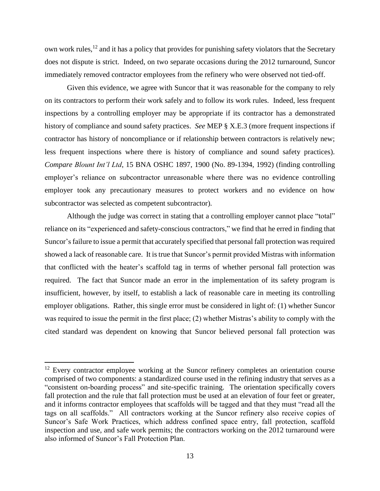own work rules,<sup>12</sup> and it has a policy that provides for punishing safety violators that the Secretary does not dispute is strict. Indeed, on two separate occasions during the 2012 turnaround, Suncor immediately removed contractor employees from the refinery who were observed not tied-off.

Given this evidence, we agree with Suncor that it was reasonable for the company to rely on its contractors to perform their work safely and to follow its work rules. Indeed, less frequent inspections by a controlling employer may be appropriate if its contractor has a demonstrated history of compliance and sound safety practices. *See* MEP § X.E.3 (more frequent inspections if contractor has history of noncompliance or if relationship between contractors is relatively new; less frequent inspections where there is history of compliance and sound safety practices). *Compare Blount Int'l Ltd*, 15 BNA OSHC 1897, 1900 (No. 89-1394, 1992) (finding controlling employer's reliance on subcontractor unreasonable where there was no evidence controlling employer took any precautionary measures to protect workers and no evidence on how subcontractor was selected as competent subcontractor).

Although the judge was correct in stating that a controlling employer cannot place "total" reliance on its "experienced and safety-conscious contractors," we find that he erred in finding that Suncor's failure to issue a permit that accurately specified that personal fall protection was required showed a lack of reasonable care. It is true that Suncor's permit provided Mistras with information that conflicted with the heater's scaffold tag in terms of whether personal fall protection was required. The fact that Suncor made an error in the implementation of its safety program is insufficient, however, by itself, to establish a lack of reasonable care in meeting its controlling employer obligations. Rather, this single error must be considered in light of: (1) whether Suncor was required to issue the permit in the first place; (2) whether Mistras's ability to comply with the cited standard was dependent on knowing that Suncor believed personal fall protection was

l

<sup>&</sup>lt;sup>12</sup> Every contractor employee working at the Suncor refinery completes an orientation course comprised of two components: a standardized course used in the refining industry that serves as a "consistent on-boarding process" and site-specific training. The orientation specifically covers fall protection and the rule that fall protection must be used at an elevation of four feet or greater, and it informs contractor employees that scaffolds will be tagged and that they must "read all the tags on all scaffolds." All contractors working at the Suncor refinery also receive copies of Suncor's Safe Work Practices, which address confined space entry, fall protection, scaffold inspection and use, and safe work permits; the contractors working on the 2012 turnaround were also informed of Suncor's Fall Protection Plan.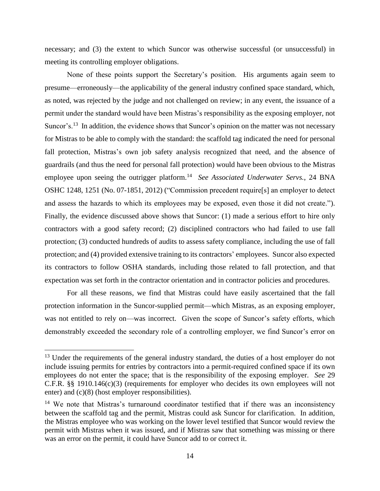necessary; and (3) the extent to which Suncor was otherwise successful (or unsuccessful) in meeting its controlling employer obligations.

None of these points support the Secretary's position. His arguments again seem to presume—erroneously—the applicability of the general industry confined space standard, which, as noted, was rejected by the judge and not challenged on review; in any event, the issuance of a permit under the standard would have been Mistras's responsibility as the exposing employer, not Suncor's.<sup>13</sup> In addition, the evidence shows that Suncor's opinion on the matter was not necessary for Mistras to be able to comply with the standard: the scaffold tag indicated the need for personal fall protection, Mistras's own job safety analysis recognized that need, and the absence of guardrails (and thus the need for personal fall protection) would have been obvious to the Mistras employee upon seeing the outrigger platform.<sup>14</sup> See Associated Underwater Servs., 24 BNA OSHC 1248, 1251 (No. 07-1851, 2012) ("Commission precedent require[s] an employer to detect and assess the hazards to which its employees may be exposed, even those it did not create."). Finally, the evidence discussed above shows that Suncor: (1) made a serious effort to hire only contractors with a good safety record; (2) disciplined contractors who had failed to use fall protection; (3) conducted hundreds of audits to assess safety compliance, including the use of fall protection; and (4) provided extensive training to its contractors' employees. Suncor also expected its contractors to follow OSHA standards, including those related to fall protection, and that expectation was set forth in the contractor orientation and in contractor policies and procedures.

For all these reasons, we find that Mistras could have easily ascertained that the fall protection information in the Suncor-supplied permit—which Mistras, as an exposing employer, was not entitled to rely on—was incorrect. Given the scope of Suncor's safety efforts, which demonstrably exceeded the secondary role of a controlling employer, we find Suncor's error on

 $\overline{\phantom{a}}$ 

<sup>&</sup>lt;sup>13</sup> Under the requirements of the general industry standard, the duties of a host employer do not include issuing permits for entries by contractors into a permit-required confined space if its own employees do not enter the space; that is the responsibility of the exposing employer. *See* 29 C.F.R. §§ 1910.146(c)(3) (requirements for employer who decides its own employees will not enter) and (c)(8) (host employer responsibilities).

 $14$  We note that Mistras's turnaround coordinator testified that if there was an inconsistency between the scaffold tag and the permit, Mistras could ask Suncor for clarification. In addition, the Mistras employee who was working on the lower level testified that Suncor would review the permit with Mistras when it was issued, and if Mistras saw that something was missing or there was an error on the permit, it could have Suncor add to or correct it.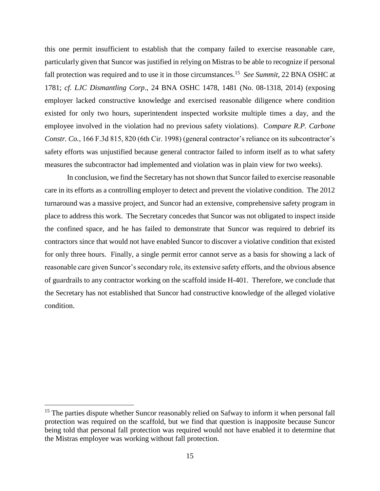this one permit insufficient to establish that the company failed to exercise reasonable care, particularly given that Suncor was justified in relying on Mistras to be able to recognize if personal fall protection was required and to use it in those circumstances.<sup>15</sup> *See Summit*, 22 BNA OSHC at 1781; *cf. LJC Dismantling Corp*., 24 BNA OSHC 1478, 1481 (No. 08-1318, 2014) (exposing employer lacked constructive knowledge and exercised reasonable diligence where condition existed for only two hours, superintendent inspected worksite multiple times a day, and the employee involved in the violation had no previous safety violations). C*ompare R.P. Carbone Constr. Co.*, 166 F.3d 815, 820 (6th Cir. 1998) (general contractor's reliance on its subcontractor's safety efforts was unjustified because general contractor failed to inform itself as to what safety measures the subcontractor had implemented and violation was in plain view for two weeks).

In conclusion, we find the Secretary has not shown that Suncor failed to exercise reasonable care in its efforts as a controlling employer to detect and prevent the violative condition. The 2012 turnaround was a massive project, and Suncor had an extensive, comprehensive safety program in place to address this work. The Secretary concedes that Suncor was not obligated to inspect inside the confined space, and he has failed to demonstrate that Suncor was required to debrief its contractors since that would not have enabled Suncor to discover a violative condition that existed for only three hours. Finally, a single permit error cannot serve as a basis for showing a lack of reasonable care given Suncor's secondary role, its extensive safety efforts, and the obvious absence of guardrails to any contractor working on the scaffold inside H-401. Therefore, we conclude that the Secretary has not established that Suncor had constructive knowledge of the alleged violative condition.

 $\overline{\phantom{a}}$ 

 $15$  The parties dispute whether Suncor reasonably relied on Safway to inform it when personal fall protection was required on the scaffold, but we find that question is inapposite because Suncor being told that personal fall protection was required would not have enabled it to determine that the Mistras employee was working without fall protection.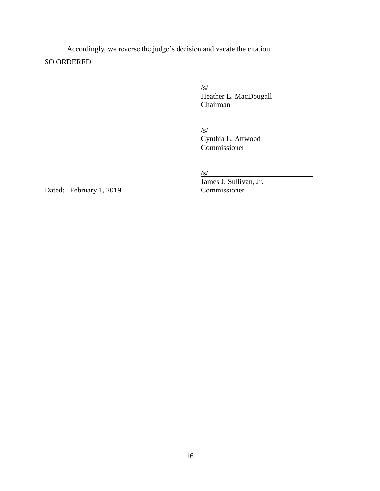Accordingly, we reverse the judge's decision and vacate the citation. SO ORDERED.

 $\sqrt{s/}$ 

Heather L. MacDougall Chairman

 $\sqrt{s/}$ 

Cynthia L. Attwood Commissioner

 $\sqrt{s/}$ 

Dated: February 1, 2019 Commissioner

James J. Sullivan, Jr.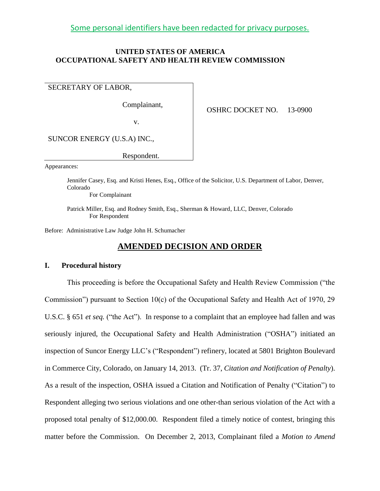Some personal identifiers have been redacted for privacy purposes.

## **UNITED STATES OF AMERICA OCCUPATIONAL SAFETY AND HEALTH REVIEW COMMISSION**

## SECRETARY OF LABOR,

Complainant,

OSHRC DOCKET NO. 13-0900

v.

SUNCOR ENERGY (U.S.A) INC.,

Respondent.

Appearances:

Jennifer Casey, Esq. and Kristi Henes, Esq., Office of the Solicitor, U.S. Department of Labor, Denver, Colorado

For Complainant

Patrick Miller, Esq. and Rodney Smith, Esq., Sherman & Howard, LLC, Denver, Colorado For Respondent

Before: Administrative Law Judge John H. Schumacher

# **AMENDED DECISION AND ORDER**

#### **I. Procedural history**

This proceeding is before the Occupational Safety and Health Review Commission ("the Commission") pursuant to Section 10(c) of the Occupational Safety and Health Act of 1970, 29 U.S.C. § 651 *et seq.* ("the Act"). In response to a complaint that an employee had fallen and was seriously injured, the Occupational Safety and Health Administration ("OSHA") initiated an inspection of Suncor Energy LLC's ("Respondent") refinery, located at 5801 Brighton Boulevard in Commerce City, Colorado, on January 14, 2013. (Tr. 37, *Citation and Notification of Penalty*). As a result of the inspection, OSHA issued a Citation and Notification of Penalty ("Citation") to Respondent alleging two serious violations and one other-than serious violation of the Act with a proposed total penalty of \$12,000.00. Respondent filed a timely notice of contest, bringing this matter before the Commission. On December 2, 2013, Complainant filed a *Motion to Amend*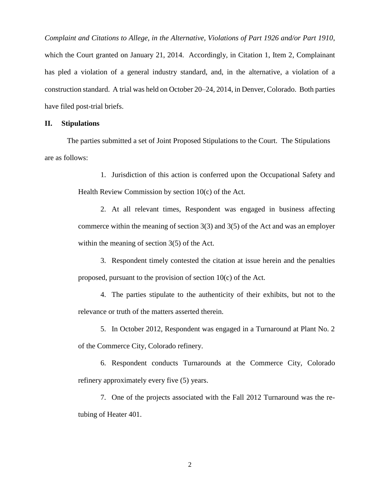*Complaint and Citations to Allege, in the Alternative, Violations of Part 1926 and/or Part 1910*, which the Court granted on January 21, 2014. Accordingly, in Citation 1, Item 2, Complainant has pled a violation of a general industry standard, and, in the alternative, a violation of a construction standard. A trial was held on October 20–24, 2014, in Denver, Colorado. Both parties have filed post-trial briefs.

## **II. Stipulations**

The parties submitted a set of Joint Proposed Stipulations to the Court. The Stipulations are as follows:

> 1. Jurisdiction of this action is conferred upon the Occupational Safety and Health Review Commission by section 10(c) of the Act.

> 2. At all relevant times, Respondent was engaged in business affecting commerce within the meaning of section  $3(3)$  and  $3(5)$  of the Act and was an employer within the meaning of section 3(5) of the Act.

> 3. Respondent timely contested the citation at issue herein and the penalties proposed, pursuant to the provision of section 10(c) of the Act.

> 4. The parties stipulate to the authenticity of their exhibits, but not to the relevance or truth of the matters asserted therein.

> 5. In October 2012, Respondent was engaged in a Turnaround at Plant No. 2 of the Commerce City, Colorado refinery.

> 6. Respondent conducts Turnarounds at the Commerce City, Colorado refinery approximately every five (5) years.

> 7. One of the projects associated with the Fall 2012 Turnaround was the retubing of Heater 401.

> > 2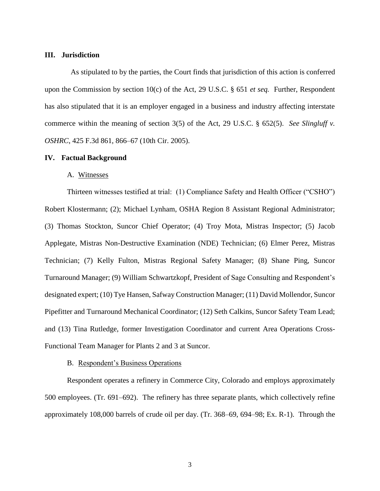### **III. Jurisdiction**

 As stipulated to by the parties, the Court finds that jurisdiction of this action is conferred upon the Commission by section 10(c) of the Act, 29 U.S.C. § 651 *et seq.* Further, Respondent has also stipulated that it is an employer engaged in a business and industry affecting interstate commerce within the meaning of section 3(5) of the Act, 29 U.S.C. § 652(5). *See Slingluff v. OSHRC*, 425 F.3d 861, 866–67 (10th Cir. 2005).

### **IV. Factual Background**

#### A. Witnesses

Thirteen witnesses testified at trial: (1) Compliance Safety and Health Officer ("CSHO") Robert Klostermann; (2); Michael Lynham, OSHA Region 8 Assistant Regional Administrator; (3) Thomas Stockton, Suncor Chief Operator; (4) Troy Mota, Mistras Inspector; (5) Jacob Applegate, Mistras Non-Destructive Examination (NDE) Technician; (6) Elmer Perez, Mistras Technician; (7) Kelly Fulton, Mistras Regional Safety Manager; (8) Shane Ping, Suncor Turnaround Manager; (9) William Schwartzkopf, President of Sage Consulting and Respondent's designated expert; (10) Tye Hansen, Safway Construction Manager; (11) David Mollendor, Suncor Pipefitter and Turnaround Mechanical Coordinator; (12) Seth Calkins, Suncor Safety Team Lead; and (13) Tina Rutledge, former Investigation Coordinator and current Area Operations Cross-Functional Team Manager for Plants 2 and 3 at Suncor.

#### B. Respondent's Business Operations

Respondent operates a refinery in Commerce City, Colorado and employs approximately 500 employees. (Tr. 691–692). The refinery has three separate plants, which collectively refine approximately 108,000 barrels of crude oil per day. (Tr. 368–69, 694–98; Ex. R-1). Through the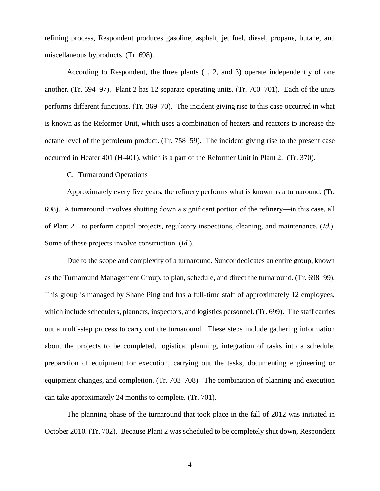refining process, Respondent produces gasoline, asphalt, jet fuel, diesel, propane, butane, and miscellaneous byproducts. (Tr. 698).

According to Respondent, the three plants (1, 2, and 3) operate independently of one another. (Tr. 694–97). Plant 2 has 12 separate operating units. (Tr. 700–701). Each of the units performs different functions. (Tr. 369–70). The incident giving rise to this case occurred in what is known as the Reformer Unit, which uses a combination of heaters and reactors to increase the octane level of the petroleum product. (Tr. 758–59). The incident giving rise to the present case occurred in Heater 401 (H-401), which is a part of the Reformer Unit in Plant 2. (Tr. 370).

## C. Turnaround Operations

Approximately every five years, the refinery performs what is known as a turnaround. (Tr. 698). A turnaround involves shutting down a significant portion of the refinery—in this case, all of Plant 2—to perform capital projects, regulatory inspections, cleaning, and maintenance. (*Id.*). Some of these projects involve construction. (*Id.*).

Due to the scope and complexity of a turnaround, Suncor dedicates an entire group, known as the Turnaround Management Group, to plan, schedule, and direct the turnaround. (Tr. 698–99). This group is managed by Shane Ping and has a full-time staff of approximately 12 employees, which include schedulers, planners, inspectors, and logistics personnel. (Tr. 699). The staff carries out a multi-step process to carry out the turnaround. These steps include gathering information about the projects to be completed, logistical planning, integration of tasks into a schedule, preparation of equipment for execution, carrying out the tasks, documenting engineering or equipment changes, and completion. (Tr. 703–708). The combination of planning and execution can take approximately 24 months to complete. (Tr. 701).

The planning phase of the turnaround that took place in the fall of 2012 was initiated in October 2010. (Tr. 702). Because Plant 2 was scheduled to be completely shut down, Respondent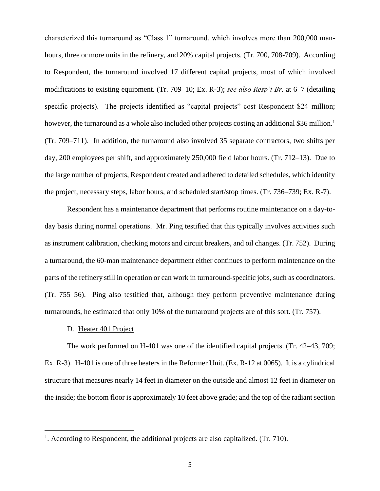characterized this turnaround as "Class 1" turnaround, which involves more than 200,000 manhours, three or more units in the refinery, and 20% capital projects. (Tr. 700, 708-709). According to Respondent, the turnaround involved 17 different capital projects, most of which involved modifications to existing equipment. (Tr. 709–10; Ex. R-3); *see also Resp't Br.* at 6–7 (detailing specific projects). The projects identified as "capital projects" cost Respondent \$24 million; however, the turnaround as a whole also included other projects costing an additional \$36 million.<sup>1</sup> (Tr. 709–711). In addition, the turnaround also involved 35 separate contractors, two shifts per day, 200 employees per shift, and approximately 250,000 field labor hours. (Tr. 712–13). Due to the large number of projects, Respondent created and adhered to detailed schedules, which identify the project, necessary steps, labor hours, and scheduled start/stop times. (Tr. 736–739; Ex. R-7).

Respondent has a maintenance department that performs routine maintenance on a day-today basis during normal operations. Mr. Ping testified that this typically involves activities such as instrument calibration, checking motors and circuit breakers, and oil changes. (Tr. 752). During a turnaround, the 60-man maintenance department either continues to perform maintenance on the parts of the refinery still in operation or can work in turnaround-specific jobs, such as coordinators. (Tr. 755–56). Ping also testified that, although they perform preventive maintenance during turnarounds, he estimated that only 10% of the turnaround projects are of this sort. (Tr. 757).

### D. Heater 401 Project

 $\overline{\phantom{a}}$ 

The work performed on H-401 was one of the identified capital projects. (Tr. 42–43, 709; Ex. R-3). H-401 is one of three heaters in the Reformer Unit. (Ex. R-12 at 0065). It is a cylindrical structure that measures nearly 14 feet in diameter on the outside and almost 12 feet in diameter on the inside; the bottom floor is approximately 10 feet above grade; and the top of the radiant section

<sup>&</sup>lt;sup>1</sup>. According to Respondent, the additional projects are also capitalized. (Tr. 710).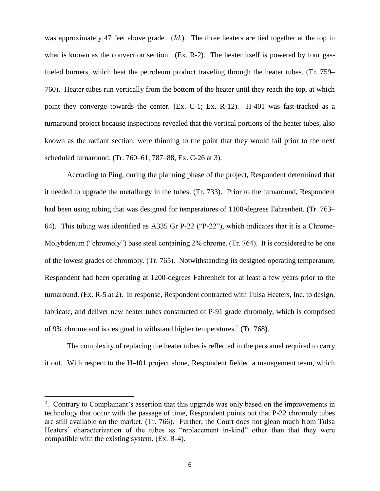was approximately 47 feet above grade. (*Id.*). The three heaters are tied together at the top in what is known as the convection section. (Ex. R-2). The heater itself is powered by four gasfueled burners, which heat the petroleum product traveling through the heater tubes. (Tr. 759– 760). Heater tubes run vertically from the bottom of the heater until they reach the top, at which point they converge towards the center. (Ex. C-1; Ex. R-12). H-401 was fast-tracked as a turnaround project because inspections revealed that the vertical portions of the heater tubes, also known as the radiant section, were thinning to the point that they would fail prior to the next scheduled turnaround. (Tr. 760–61, 787–88, Ex. C-26 at 3).

According to Ping, during the planning phase of the project, Respondent determined that it needed to upgrade the metallurgy in the tubes. (Tr. 733). Prior to the turnaround, Respondent had been using tubing that was designed for temperatures of 1100-degrees Fahrenheit. (Tr. 763– 64). This tubing was identified as A335 Gr P-22 ("P-22"), which indicates that it is a Chrome-Molybdenum ("chromoly") base steel containing 2% chrome. (Tr. 764). It is considered to be one of the lowest grades of chromoly. (Tr. 765). Notwithstanding its designed operating temperature, Respondent had been operating at 1200-degrees Fahrenheit for at least a few years prior to the turnaround. (Ex. R-5 at 2). In response, Respondent contracted with Tulsa Heaters, Inc. to design, fabricate, and deliver new heater tubes constructed of P-91 grade chromoly, which is comprised of 9% chrome and is designed to withstand higher temperatures.<sup>2</sup> (Tr. 768).

The complexity of replacing the heater tubes is reflected in the personnel required to carry it out. With respect to the H-401 project alone, Respondent fielded a management team, which

 $\overline{\phantom{a}}$ 

<sup>&</sup>lt;sup>2</sup>. Contrary to Complainant's assertion that this upgrade was only based on the improvements in technology that occur with the passage of time, Respondent points out that P-22 chromoly tubes are still available on the market. (Tr. 766). Further, the Court does not glean much from Tulsa Heaters' characterization of the tubes as "replacement in-kind" other than that they were compatible with the existing system. (Ex. R-4).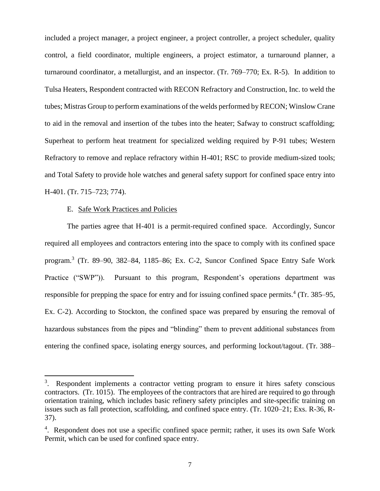included a project manager, a project engineer, a project controller, a project scheduler, quality control, a field coordinator, multiple engineers, a project estimator, a turnaround planner, a turnaround coordinator, a metallurgist, and an inspector. (Tr. 769–770; Ex. R-5). In addition to Tulsa Heaters, Respondent contracted with RECON Refractory and Construction, Inc. to weld the tubes; Mistras Group to perform examinations of the welds performed by RECON; Winslow Crane to aid in the removal and insertion of the tubes into the heater; Safway to construct scaffolding; Superheat to perform heat treatment for specialized welding required by P-91 tubes; Western Refractory to remove and replace refractory within H-401; RSC to provide medium-sized tools; and Total Safety to provide hole watches and general safety support for confined space entry into H-401. (Tr. 715–723; 774).

## E. Safe Work Practices and Policies

 $\overline{a}$ 

The parties agree that H-401 is a permit-required confined space. Accordingly, Suncor required all employees and contractors entering into the space to comply with its confined space program.<sup>3</sup> (Tr. 89–90, 382–84, 1185–86; Ex. C-2, Suncor Confined Space Entry Safe Work Practice ("SWP")). Pursuant to this program, Respondent's operations department was responsible for prepping the space for entry and for issuing confined space permits.<sup>4</sup> (Tr. 385–95, Ex. C-2). According to Stockton, the confined space was prepared by ensuring the removal of hazardous substances from the pipes and "blinding" them to prevent additional substances from entering the confined space, isolating energy sources, and performing lockout/tagout. (Tr. 388–

 $3$ . Respondent implements a contractor vetting program to ensure it hires safety conscious contractors. (Tr. 1015). The employees of the contractors that are hired are required to go through orientation training, which includes basic refinery safety principles and site-specific training on issues such as fall protection, scaffolding, and confined space entry. (Tr. 1020–21; Exs. R-36, R-37).

<sup>&</sup>lt;sup>4</sup>. Respondent does not use a specific confined space permit; rather, it uses its own Safe Work Permit, which can be used for confined space entry.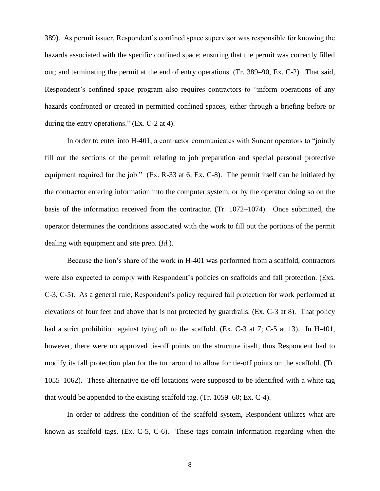389). As permit issuer, Respondent's confined space supervisor was responsible for knowing the hazards associated with the specific confined space; ensuring that the permit was correctly filled out; and terminating the permit at the end of entry operations. (Tr. 389–90, Ex. C-2). That said, Respondent's confined space program also requires contractors to "inform operations of any hazards confronted or created in permitted confined spaces, either through a briefing before or during the entry operations." (Ex. C-2 at 4).

In order to enter into H-401, a contractor communicates with Suncor operators to "jointly fill out the sections of the permit relating to job preparation and special personal protective equipment required for the job." (Ex. R-33 at 6; Ex. C-8). The permit itself can be initiated by the contractor entering information into the computer system, or by the operator doing so on the basis of the information received from the contractor. (Tr. 1072–1074). Once submitted, the operator determines the conditions associated with the work to fill out the portions of the permit dealing with equipment and site prep. (*Id.*).

Because the lion's share of the work in H-401 was performed from a scaffold, contractors were also expected to comply with Respondent's policies on scaffolds and fall protection. (Exs. C-3, C-5). As a general rule, Respondent's policy required fall protection for work performed at elevations of four feet and above that is not protected by guardrails. (Ex. C-3 at 8). That policy had a strict prohibition against tying off to the scaffold. (Ex. C-3 at 7; C-5 at 13). In H-401, however, there were no approved tie-off points on the structure itself, thus Respondent had to modify its fall protection plan for the turnaround to allow for tie-off points on the scaffold. (Tr. 1055–1062). These alternative tie-off locations were supposed to be identified with a white tag that would be appended to the existing scaffold tag. (Tr. 1059–60; Ex. C-4).

In order to address the condition of the scaffold system, Respondent utilizes what are known as scaffold tags. (Ex. C-5, C-6). These tags contain information regarding when the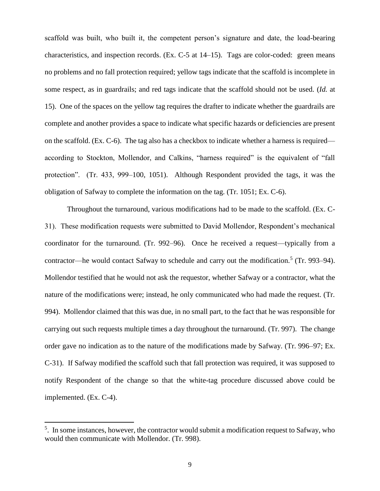scaffold was built, who built it, the competent person's signature and date, the load-bearing characteristics, and inspection records. (Ex. C-5 at 14–15). Tags are color-coded: green means no problems and no fall protection required; yellow tags indicate that the scaffold is incomplete in some respect, as in guardrails; and red tags indicate that the scaffold should not be used. (*Id.* at 15). One of the spaces on the yellow tag requires the drafter to indicate whether the guardrails are complete and another provides a space to indicate what specific hazards or deficiencies are present on the scaffold. (Ex. C-6). The tag also has a checkbox to indicate whether a harness is required according to Stockton, Mollendor, and Calkins, "harness required" is the equivalent of "fall protection". (Tr. 433, 999–100, 1051). Although Respondent provided the tags, it was the obligation of Safway to complete the information on the tag. (Tr. 1051; Ex. C-6).

Throughout the turnaround, various modifications had to be made to the scaffold. (Ex. C-31). These modification requests were submitted to David Mollendor, Respondent's mechanical coordinator for the turnaround. (Tr. 992–96). Once he received a request—typically from a contractor—he would contact Safway to schedule and carry out the modification.<sup>5</sup> (Tr. 993–94). Mollendor testified that he would not ask the requestor, whether Safway or a contractor, what the nature of the modifications were; instead, he only communicated who had made the request. (Tr. 994). Mollendor claimed that this was due, in no small part, to the fact that he was responsible for carrying out such requests multiple times a day throughout the turnaround. (Tr. 997). The change order gave no indication as to the nature of the modifications made by Safway. (Tr. 996–97; Ex. C-31). If Safway modified the scaffold such that fall protection was required, it was supposed to notify Respondent of the change so that the white-tag procedure discussed above could be implemented. (Ex. C-4).

 $\overline{a}$ 

<sup>&</sup>lt;sup>5</sup>. In some instances, however, the contractor would submit a modification request to Safway, who would then communicate with Mollendor. (Tr. 998).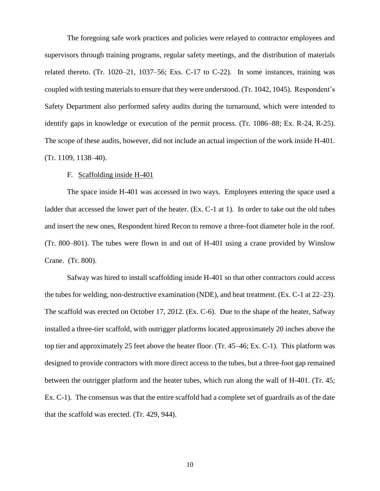The foregoing safe work practices and policies were relayed to contractor employees and supervisors through training programs, regular safety meetings, and the distribution of materials related thereto. (Tr. 1020–21, 1037–56; Exs. C-17 to C-22). In some instances, training was coupled with testing materials to ensure that they were understood. (Tr. 1042, 1045). Respondent's Safety Department also performed safety audits during the turnaround, which were intended to identify gaps in knowledge or execution of the permit process. (Tr. 1086–88; Ex. R-24, R-25). The scope of these audits, however, did not include an actual inspection of the work inside H-401. (Tr. 1109, 1138–40).

#### F. Scaffolding inside H-401

The space inside H-401 was accessed in two ways. Employees entering the space used a ladder that accessed the lower part of the heater. (Ex. C-1 at 1). In order to take out the old tubes and insert the new ones, Respondent hired Recon to remove a three-foot diameter hole in the roof. (Tr. 800–801). The tubes were flown in and out of H-401 using a crane provided by Winslow Crane. (Tr. 800).

Safway was hired to install scaffolding inside H-401 so that other contractors could access the tubes for welding, non-destructive examination (NDE), and heat treatment. (Ex. C-1 at 22–23). The scaffold was erected on October 17, 2012. (Ex. C-6). Due to the shape of the heater, Safway installed a three-tier scaffold, with outrigger platforms located approximately 20 inches above the top tier and approximately 25 feet above the heater floor. (Tr. 45–46; Ex. C-1). This platform was designed to provide contractors with more direct access to the tubes, but a three-foot gap remained between the outrigger platform and the heater tubes, which run along the wall of H-401. (Tr. 45; Ex. C-1). The consensus was that the entire scaffold had a complete set of guardrails as of the date that the scaffold was erected. (Tr. 429, 944).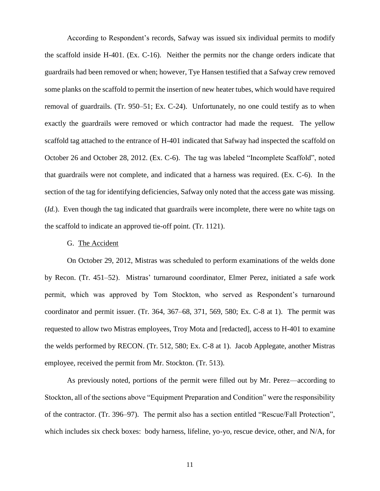According to Respondent's records, Safway was issued six individual permits to modify the scaffold inside H-401. (Ex. C-16). Neither the permits nor the change orders indicate that guardrails had been removed or when; however, Tye Hansen testified that a Safway crew removed some planks on the scaffold to permit the insertion of new heater tubes, which would have required removal of guardrails. (Tr. 950–51; Ex. C-24). Unfortunately, no one could testify as to when exactly the guardrails were removed or which contractor had made the request. The yellow scaffold tag attached to the entrance of H-401 indicated that Safway had inspected the scaffold on October 26 and October 28, 2012. (Ex. C-6). The tag was labeled "Incomplete Scaffold", noted that guardrails were not complete, and indicated that a harness was required. (Ex. C-6). In the section of the tag for identifying deficiencies, Safway only noted that the access gate was missing. (*Id.*). Even though the tag indicated that guardrails were incomplete, there were no white tags on the scaffold to indicate an approved tie-off point. (Tr. 1121).

## G. The Accident

On October 29, 2012, Mistras was scheduled to perform examinations of the welds done by Recon. (Tr. 451–52). Mistras' turnaround coordinator, Elmer Perez, initiated a safe work permit, which was approved by Tom Stockton, who served as Respondent's turnaround coordinator and permit issuer. (Tr. 364, 367–68, 371, 569, 580; Ex. C-8 at 1). The permit was requested to allow two Mistras employees, Troy Mota and [redacted], access to H-401 to examine the welds performed by RECON. (Tr. 512, 580; Ex. C-8 at 1). Jacob Applegate, another Mistras employee, received the permit from Mr. Stockton. (Tr. 513).

As previously noted, portions of the permit were filled out by Mr. Perez—according to Stockton, all of the sections above "Equipment Preparation and Condition" were the responsibility of the contractor. (Tr. 396–97). The permit also has a section entitled "Rescue/Fall Protection", which includes six check boxes: body harness, lifeline, yo-yo, rescue device, other, and N/A, for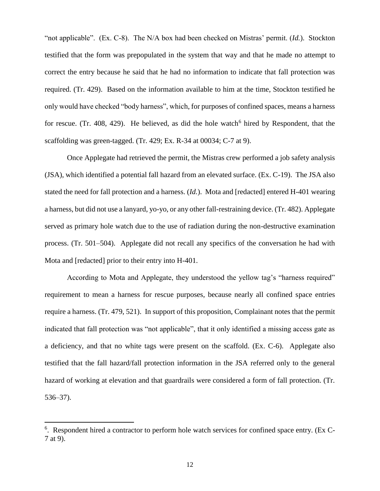"not applicable". (Ex. C-8). The N/A box had been checked on Mistras' permit. (*Id.*). Stockton testified that the form was prepopulated in the system that way and that he made no attempt to correct the entry because he said that he had no information to indicate that fall protection was required. (Tr. 429). Based on the information available to him at the time, Stockton testified he only would have checked "body harness", which, for purposes of confined spaces, means a harness for rescue. (Tr. 408, 429). He believed, as did the hole watch<sup>6</sup> hired by Respondent, that the scaffolding was green-tagged. (Tr. 429; Ex. R-34 at 00034; C-7 at 9).

Once Applegate had retrieved the permit, the Mistras crew performed a job safety analysis (JSA), which identified a potential fall hazard from an elevated surface. (Ex. C-19). The JSA also stated the need for fall protection and a harness. (*Id.*). Mota and [redacted] entered H-401 wearing a harness, but did not use a lanyard, yo-yo, or any other fall-restraining device. (Tr. 482). Applegate served as primary hole watch due to the use of radiation during the non-destructive examination process. (Tr. 501–504). Applegate did not recall any specifics of the conversation he had with Mota and [redacted] prior to their entry into H-401.

According to Mota and Applegate, they understood the yellow tag's "harness required" requirement to mean a harness for rescue purposes, because nearly all confined space entries require a harness. (Tr. 479, 521). In support of this proposition, Complainant notes that the permit indicated that fall protection was "not applicable", that it only identified a missing access gate as a deficiency, and that no white tags were present on the scaffold. (Ex. C-6). Applegate also testified that the fall hazard/fall protection information in the JSA referred only to the general hazard of working at elevation and that guardrails were considered a form of fall protection. (Tr. 536–37).

 $\overline{a}$ 

<sup>&</sup>lt;sup>6</sup>. Respondent hired a contractor to perform hole watch services for confined space entry. (Ex C-7 at 9).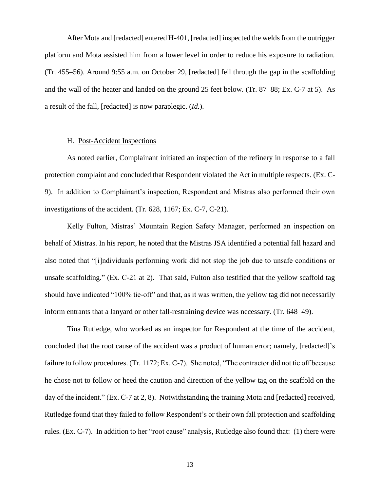After Mota and [redacted] entered H-401, [redacted] inspected the welds from the outrigger platform and Mota assisted him from a lower level in order to reduce his exposure to radiation. (Tr. 455–56). Around 9:55 a.m. on October 29, [redacted] fell through the gap in the scaffolding and the wall of the heater and landed on the ground 25 feet below. (Tr. 87–88; Ex. C-7 at 5). As a result of the fall, [redacted] is now paraplegic. (*Id.*).

### H. Post-Accident Inspections

As noted earlier, Complainant initiated an inspection of the refinery in response to a fall protection complaint and concluded that Respondent violated the Act in multiple respects. (Ex. C-9). In addition to Complainant's inspection, Respondent and Mistras also performed their own investigations of the accident. (Tr. 628, 1167; Ex. C-7, C-21).

Kelly Fulton, Mistras' Mountain Region Safety Manager, performed an inspection on behalf of Mistras. In his report, he noted that the Mistras JSA identified a potential fall hazard and also noted that "[i]ndividuals performing work did not stop the job due to unsafe conditions or unsafe scaffolding." (Ex. C-21 at 2). That said, Fulton also testified that the yellow scaffold tag should have indicated "100% tie-off" and that, as it was written, the yellow tag did not necessarily inform entrants that a lanyard or other fall-restraining device was necessary. (Tr. 648–49).

Tina Rutledge, who worked as an inspector for Respondent at the time of the accident, concluded that the root cause of the accident was a product of human error; namely, [redacted]'s failure to follow procedures. (Tr. 1172; Ex. C-7). She noted, "The contractor did not tie off because he chose not to follow or heed the caution and direction of the yellow tag on the scaffold on the day of the incident." (Ex. C-7 at 2, 8). Notwithstanding the training Mota and [redacted] received, Rutledge found that they failed to follow Respondent's or their own fall protection and scaffolding rules. (Ex. C-7). In addition to her "root cause" analysis, Rutledge also found that: (1) there were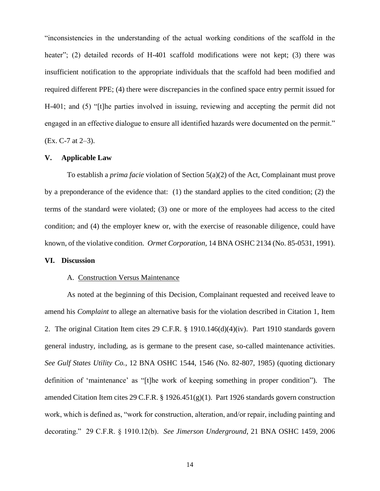"inconsistencies in the understanding of the actual working conditions of the scaffold in the heater"; (2) detailed records of H-401 scaffold modifications were not kept; (3) there was insufficient notification to the appropriate individuals that the scaffold had been modified and required different PPE; (4) there were discrepancies in the confined space entry permit issued for H-401; and (5) "[t]he parties involved in issuing, reviewing and accepting the permit did not engaged in an effective dialogue to ensure all identified hazards were documented on the permit." (Ex. C-7 at 2–3).

#### **V. Applicable Law**

To establish a *prima facie* violation of Section 5(a)(2) of the Act, Complainant must prove by a preponderance of the evidence that: (1) the standard applies to the cited condition; (2) the terms of the standard were violated; (3) one or more of the employees had access to the cited condition; and (4) the employer knew or, with the exercise of reasonable diligence, could have known, of the violative condition. *Ormet Corporation*, 14 BNA OSHC 2134 (No. 85-0531, 1991).

#### **VI. Discussion**

### A. Construction Versus Maintenance

As noted at the beginning of this Decision, Complainant requested and received leave to amend his *Complaint* to allege an alternative basis for the violation described in Citation 1, Item 2. The original Citation Item cites 29 C.F.R. § 1910.146(d)(4)(iv). Part 1910 standards govern general industry, including, as is germane to the present case, so-called maintenance activities. *See Gulf States Utility Co.*, 12 BNA OSHC 1544, 1546 (No. 82-807, 1985) (quoting dictionary definition of 'maintenance' as "[t]he work of keeping something in proper condition"). The amended Citation Item cites 29 C.F.R. § 1926.451(g)(1). Part 1926 standards govern construction work, which is defined as, "work for construction, alteration, and/or repair, including painting and decorating." 29 C.F.R. § 1910.12(b). *See Jimerson Underground*, 21 BNA OSHC 1459, 2006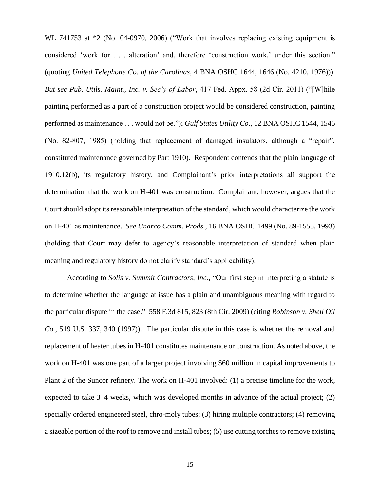WL 741753 at  $*2$  (No. 04-0970, 2006) ("Work that involves replacing existing equipment is considered 'work for . . . alteration' and, therefore 'construction work,' under this section." (quoting *United Telephone Co. of the Carolinas*, 4 BNA OSHC 1644, 1646 (No. 4210, 1976))). *But see Pub. Utils. Maint., Inc. v. Sec'y of Labor*, 417 Fed. Appx. 58 (2d Cir. 2011) ("[W]hile painting performed as a part of a construction project would be considered construction, painting performed as maintenance . . . would not be."); *Gulf States Utility Co.*, 12 BNA OSHC 1544, 1546 (No. 82-807, 1985) (holding that replacement of damaged insulators, although a "repair", constituted maintenance governed by Part 1910). Respondent contends that the plain language of 1910.12(b), its regulatory history, and Complainant's prior interpretations all support the determination that the work on H-401 was construction. Complainant, however, argues that the Court should adopt its reasonable interpretation of the standard, which would characterize the work on H-401 as maintenance. *See Unarco Comm. Prods.*, 16 BNA OSHC 1499 (No. 89-1555, 1993) (holding that Court may defer to agency's reasonable interpretation of standard when plain meaning and regulatory history do not clarify standard's applicability).

According to *Solis v. Summit Contractors, Inc.*, "Our first step in interpreting a statute is to determine whether the language at issue has a plain and unambiguous meaning with regard to the particular dispute in the case." 558 F.3d 815, 823 (8th Cir. 2009) (citing *Robinson v. Shell Oil Co.*, 519 U.S. 337, 340 (1997)). The particular dispute in this case is whether the removal and replacement of heater tubes in H-401 constitutes maintenance or construction. As noted above, the work on H-401 was one part of a larger project involving \$60 million in capital improvements to Plant 2 of the Suncor refinery. The work on H-401 involved: (1) a precise timeline for the work, expected to take 3–4 weeks, which was developed months in advance of the actual project; (2) specially ordered engineered steel, chro-moly tubes; (3) hiring multiple contractors; (4) removing a sizeable portion of the roof to remove and install tubes; (5) use cutting torches to remove existing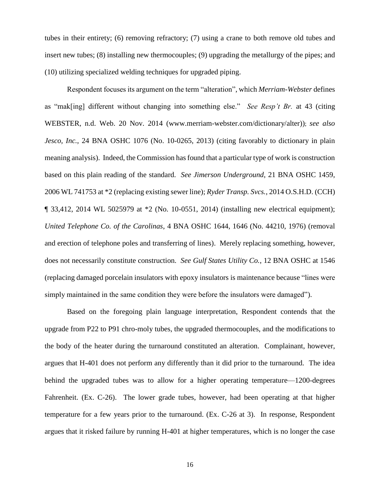tubes in their entirety; (6) removing refractory; (7) using a crane to both remove old tubes and insert new tubes; (8) installing new thermocouples; (9) upgrading the metallurgy of the pipes; and (10) utilizing specialized welding techniques for upgraded piping.

Respondent focuses its argument on the term "alteration", which *Merriam-Webster* defines as "mak[ing] different without changing into something else." *See Resp't Br.* at 43 (citing WEBSTER, n.d. Web. 20 Nov. 2014 (www.merriam-webster.com/dictionary/alter)); *see also Jesco, Inc.*, 24 BNA OSHC 1076 (No. 10-0265, 2013) (citing favorably to dictionary in plain meaning analysis). Indeed, the Commission has found that a particular type of work is construction based on this plain reading of the standard. *See Jimerson Underground*, 21 BNA OSHC 1459, 2006 WL 741753 at \*2 (replacing existing sewer line); *Ryder Transp. Svcs.*, 2014 O.S.H.D. (CCH) ¶ 33,412, 2014 WL 5025979 at \*2 (No. 10-0551, 2014) (installing new electrical equipment); *United Telephone Co. of the Carolinas*, 4 BNA OSHC 1644, 1646 (No. 44210, 1976) (removal and erection of telephone poles and transferring of lines). Merely replacing something, however, does not necessarily constitute construction. *See Gulf States Utility Co.*, 12 BNA OSHC at 1546 (replacing damaged porcelain insulators with epoxy insulators is maintenance because "lines were simply maintained in the same condition they were before the insulators were damaged").

Based on the foregoing plain language interpretation, Respondent contends that the upgrade from P22 to P91 chro-moly tubes, the upgraded thermocouples, and the modifications to the body of the heater during the turnaround constituted an alteration. Complainant, however, argues that H-401 does not perform any differently than it did prior to the turnaround. The idea behind the upgraded tubes was to allow for a higher operating temperature—1200-degrees Fahrenheit. (Ex. C-26). The lower grade tubes, however, had been operating at that higher temperature for a few years prior to the turnaround. (Ex. C-26 at 3). In response, Respondent argues that it risked failure by running H-401 at higher temperatures, which is no longer the case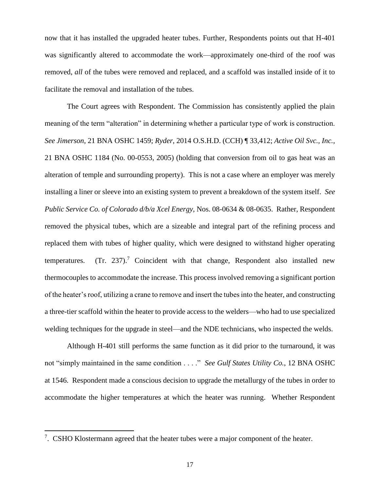now that it has installed the upgraded heater tubes. Further, Respondents points out that H-401 was significantly altered to accommodate the work—approximately one-third of the roof was removed, *all* of the tubes were removed and replaced, and a scaffold was installed inside of it to facilitate the removal and installation of the tubes.

The Court agrees with Respondent. The Commission has consistently applied the plain meaning of the term "alteration" in determining whether a particular type of work is construction. *See Jimerson*, 21 BNA OSHC 1459; *Ryder*, 2014 O.S.H.D. (CCH) ¶ 33,412; *Active Oil Svc., Inc.*, 21 BNA OSHC 1184 (No. 00-0553, 2005) (holding that conversion from oil to gas heat was an alteration of temple and surrounding property). This is not a case where an employer was merely installing a liner or sleeve into an existing system to prevent a breakdown of the system itself. *See Public Service Co. of Colorado d/b/a Xcel Energy*, Nos. 08-0634 & 08-0635. Rather, Respondent removed the physical tubes, which are a sizeable and integral part of the refining process and replaced them with tubes of higher quality, which were designed to withstand higher operating temperatures.  $(Tr. 237).$ <sup>7</sup> Coincident with that change, Respondent also installed new thermocouples to accommodate the increase. This process involved removing a significant portion of the heater's roof, utilizing a crane to remove and insert the tubes into the heater, and constructing a three-tier scaffold within the heater to provide access to the welders—who had to use specialized welding techniques for the upgrade in steel—and the NDE technicians, who inspected the welds.

Although H-401 still performs the same function as it did prior to the turnaround, it was not "simply maintained in the same condition . . . ." *See Gulf States Utility Co.*, 12 BNA OSHC at 1546. Respondent made a conscious decision to upgrade the metallurgy of the tubes in order to accommodate the higher temperatures at which the heater was running. Whether Respondent

 $\overline{\phantom{a}}$ 

<sup>&</sup>lt;sup>7</sup>. CSHO Klostermann agreed that the heater tubes were a major component of the heater.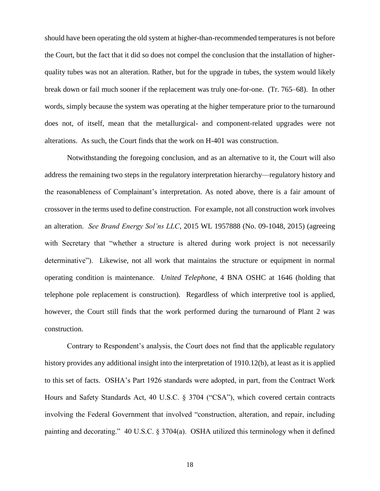should have been operating the old system at higher-than-recommended temperatures is not before the Court, but the fact that it did so does not compel the conclusion that the installation of higherquality tubes was not an alteration. Rather, but for the upgrade in tubes, the system would likely break down or fail much sooner if the replacement was truly one-for-one. (Tr. 765–68). In other words, simply because the system was operating at the higher temperature prior to the turnaround does not, of itself, mean that the metallurgical- and component-related upgrades were not alterations. As such, the Court finds that the work on H-401 was construction.

Notwithstanding the foregoing conclusion, and as an alternative to it, the Court will also address the remaining two steps in the regulatory interpretation hierarchy—regulatory history and the reasonableness of Complainant's interpretation. As noted above, there is a fair amount of crossover in the terms used to define construction. For example, not all construction work involves an alteration. *See Brand Energy Sol'ns LLC*, 2015 WL 1957888 (No. 09-1048, 2015) (agreeing with Secretary that "whether a structure is altered during work project is not necessarily determinative"). Likewise, not all work that maintains the structure or equipment in normal operating condition is maintenance. *United Telephone*, 4 BNA OSHC at 1646 (holding that telephone pole replacement is construction). Regardless of which interpretive tool is applied, however, the Court still finds that the work performed during the turnaround of Plant 2 was construction.

Contrary to Respondent's analysis, the Court does not find that the applicable regulatory history provides any additional insight into the interpretation of 1910.12(b), at least as it is applied to this set of facts. OSHA's Part 1926 standards were adopted, in part, from the Contract Work Hours and Safety Standards Act, 40 U.S.C. § 3704 ("CSA"), which covered certain contracts involving the Federal Government that involved "construction, alteration, and repair, including painting and decorating." 40 U.S.C. § 3704(a). OSHA utilized this terminology when it defined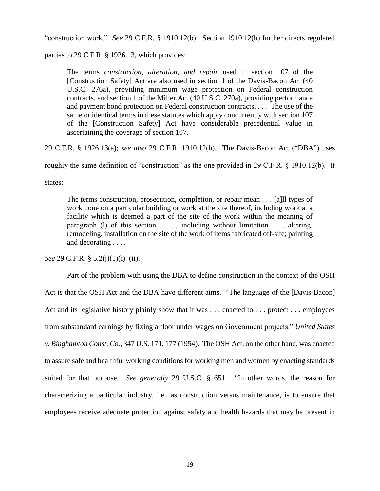"construction work." *See* 29 C.F.R. § 1910.12(b). Section 1910.12(b) further directs regulated

parties to 29 C.F.R. § 1926.13, which provides:

The terms *construction, alteration, and repair* used in section 107 of the [Construction Safety] Act are also used in section 1 of the Davis-Bacon Act (40 U.S.C. 276a), providing minimum wage protection on Federal construction contracts, and section 1 of the Miller Act (40 U.S.C. 270a), providing performance and payment bond protection on Federal construction contracts. . . . The use of the same or identical terms in these statutes which apply concurrently with section 107 of the [Construction Safety] Act have considerable precedential value in ascertaining the coverage of section 107.

29 C.F.R. § 1926.13(a); *see also* 29 C.F.R. 1910.12(b). The Davis-Bacon Act ("DBA") uses

roughly the same definition of "construction" as the one provided in 29 C.F.R. § 1910.12(b). It

states:

The terms construction, prosecution, completion, or repair mean . . . [a]ll types of work done on a particular building or work at the site thereof, including work at a facility which is deemed a part of the site of the work within the meaning of paragraph (l) of this section . . . , including without limitation . . . altering, remodeling, installation on the site of the work of items fabricated off-site; painting and decorating . . . .

*See* 29 C.F.R. § 5.2(j)(1)(i)–(ii).

Part of the problem with using the DBA to define construction in the context of the OSH Act is that the OSH Act and the DBA have different aims. "The language of the [Davis-Bacon] Act and its legislative history plainly show that it was . . . enacted to . . . protect . . . employees from substandard earnings by fixing a floor under wages on Government projects." *United States v. Binghamton Const. Co.*, 347 U.S. 171, 177 (1954). The OSH Act, on the other hand, was enacted to assure safe and healthful working conditions for working men and women by enacting standards suited for that purpose. *See generally* 29 U.S.C. § 651. "In other words, the reason for characterizing a particular industry, i.e., as construction versus maintenance, is to ensure that employees receive adequate protection against safety and health hazards that may be present in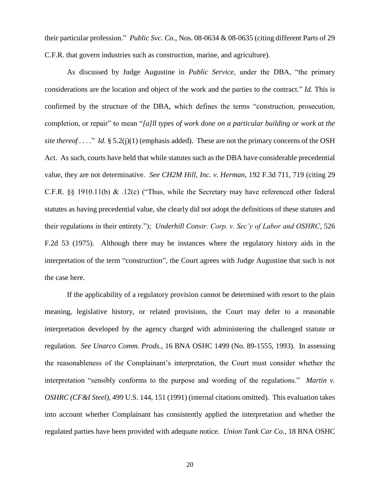their particular profession." *Public Svc. Co.*, Nos. 08-0634 & 08-0635 (citing different Parts of 29 C.F.R. that govern industries such as construction, marine, and agriculture).

As discussed by Judge Augustine in *Public Service*, under the DBA, "the primary considerations are the location and object of the work and the parties to the contract." *Id.* This is confirmed by the structure of the DBA, which defines the terms "construction, prosecution, completion, or repair" to mean "*[a]ll types of work done on a particular building or work at the site thereof ....*" *Id.* § 5.2(j)(1) (emphasis added). These are not the primary concerns of the OSH Act. As such, courts have held that while statutes such as the DBA have considerable precedential value, they are not determinative. *See CH2M Hill, Inc. v. Herman*, 192 F.3d 711, 719 (citing 29 C.F.R. §§ 1910.11(b) & .12(c) ("Thus, while the Secretary may have referenced other federal statutes as having precedential value, she clearly did not adopt the definitions of these statutes and their regulations in their entirety."); *Underhill Constr. Corp. v. Sec'y of Labor and OSHRC*, 526 F.2d 53 (1975). Although there may be instances where the regulatory history aids in the interpretation of the term "construction", the Court agrees with Judge Augustine that such is not the case here.

If the applicability of a regulatory provision cannot be determined with resort to the plain meaning, legislative history, or related provisions, the Court may defer to a reasonable interpretation developed by the agency charged with administering the challenged statute or regulation. *See Unarco Comm. Prods.*, 16 BNA OSHC 1499 (No. 89-1555, 1993). In assessing the reasonableness of the Complainant's interpretation, the Court must consider whether the interpretation "sensibly conforms to the purpose and wording of the regulations." *Martin v. OSHRC (CF&I Steel)*, 499 U.S. 144, 151 (1991) (internal citations omitted). This evaluation takes into account whether Complainant has consistently applied the interpretation and whether the regulated parties have been provided with adequate notice. *Union Tank Car Co.*, 18 BNA OSHC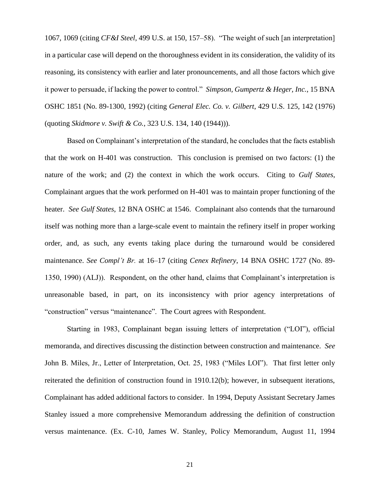1067, 1069 (citing *CF&I Steel*, 499 U.S. at 150, 157–58). "The weight of such [an interpretation] in a particular case will depend on the thoroughness evident in its consideration, the validity of its reasoning, its consistency with earlier and later pronouncements, and all those factors which give it power to persuade, if lacking the power to control." *Simpson, Gumpertz & Heger, Inc.*, 15 BNA OSHC 1851 (No. 89-1300, 1992) (citing *General Elec. Co. v. Gilbert*, 429 U.S. 125, 142 (1976) (quoting *Skidmore v. Swift & Co.*, 323 U.S. 134, 140 (1944))).

Based on Complainant's interpretation of the standard, he concludes that the facts establish that the work on H-401 was construction. This conclusion is premised on two factors: (1) the nature of the work; and (2) the context in which the work occurs. Citing to *Gulf States*, Complainant argues that the work performed on H-401 was to maintain proper functioning of the heater. *See Gulf States*, 12 BNA OSHC at 1546. Complainant also contends that the turnaround itself was nothing more than a large-scale event to maintain the refinery itself in proper working order, and, as such, any events taking place during the turnaround would be considered maintenance. *See Compl't Br.* at 16–17 (citing *Cenex Refinery*, 14 BNA OSHC 1727 (No. 89- 1350, 1990) (ALJ)). Respondent, on the other hand, claims that Complainant's interpretation is unreasonable based, in part, on its inconsistency with prior agency interpretations of "construction" versus "maintenance". The Court agrees with Respondent.

Starting in 1983, Complainant began issuing letters of interpretation ("LOI"), official memoranda, and directives discussing the distinction between construction and maintenance. *See*  John B. Miles, Jr., Letter of Interpretation, Oct. 25, 1983 ("Miles LOI"). That first letter only reiterated the definition of construction found in 1910.12(b); however, in subsequent iterations, Complainant has added additional factors to consider. In 1994, Deputy Assistant Secretary James Stanley issued a more comprehensive Memorandum addressing the definition of construction versus maintenance. (Ex. C-10, James W. Stanley, Policy Memorandum, August 11, 1994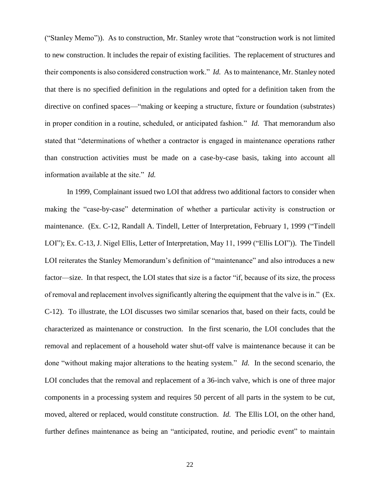("Stanley Memo")). As to construction, Mr. Stanley wrote that "construction work is not limited to new construction. It includes the repair of existing facilities. The replacement of structures and their components is also considered construction work." *Id.* As to maintenance, Mr. Stanley noted that there is no specified definition in the regulations and opted for a definition taken from the directive on confined spaces—"making or keeping a structure, fixture or foundation (substrates) in proper condition in a routine, scheduled, or anticipated fashion." *Id.* That memorandum also stated that "determinations of whether a contractor is engaged in maintenance operations rather than construction activities must be made on a case-by-case basis, taking into account all information available at the site." *Id.*

In 1999, Complainant issued two LOI that address two additional factors to consider when making the "case-by-case" determination of whether a particular activity is construction or maintenance. (Ex. C-12, Randall A. Tindell, Letter of Interpretation, February 1, 1999 ("Tindell LOI"); Ex. C-13, J. Nigel Ellis, Letter of Interpretation, May 11, 1999 ("Ellis LOI")). The Tindell LOI reiterates the Stanley Memorandum's definition of "maintenance" and also introduces a new factor—size. In that respect, the LOI states that size is a factor "if, because of its size, the process of removal and replacement involves significantly altering the equipment that the valve is in." (Ex. C-12). To illustrate, the LOI discusses two similar scenarios that, based on their facts, could be characterized as maintenance or construction. In the first scenario, the LOI concludes that the removal and replacement of a household water shut-off valve is maintenance because it can be done "without making major alterations to the heating system." *Id.* In the second scenario, the LOI concludes that the removal and replacement of a 36-inch valve, which is one of three major components in a processing system and requires 50 percent of all parts in the system to be cut, moved, altered or replaced, would constitute construction. *Id.* The Ellis LOI, on the other hand, further defines maintenance as being an "anticipated, routine, and periodic event" to maintain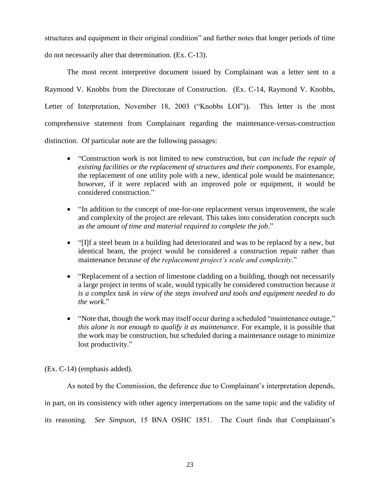structures and equipment in their original condition" and further notes that longer periods of time do not necessarily alter that determination. (Ex. C-13).

The most recent interpretive document issued by Complainant was a letter sent to a Raymond V. Knobbs from the Directorate of Construction. (Ex. C-14, Raymond V. Knobbs, Letter of Interpretation, November 18, 2003 ("Knobbs LOI")). This letter is the most comprehensive statement from Complainant regarding the maintenance-versus-construction distinction. Of particular note are the following passages:

- "Construction work is not limited to new construction, but *can include the repair of existing facilities or the replacement of structures and their components*. For example, the replacement of one utility pole with a new, identical pole would be maintenance; however, if it were replaced with an improved pole or equipment, it would be considered construction."
- "In addition to the concept of one-for-one replacement versus improvement, the scale and complexity of the project are relevant. This takes into consideration concepts such as *the amount of time and material required to complete the job*."
- "[I]f a steel beam in a building had deteriorated and was to be replaced by a new, but identical beam, the project would be considered a construction repair rather than maintenance *because of the replacement project's scale and complexity*."
- "Replacement of a section of limestone cladding on a building, though not necessarily a large project in terms of scale, would typically be considered construction because *it is a complex task in view of the steps involved and tools and equipment needed to do the work*."
- "Note that, though the work may itself occur during a scheduled "maintenance outage," *this alone is not enough to qualify it as maintenance*. For example, it is possible that the work may be construction, but scheduled during a maintenance outage to minimize lost productivity."

(Ex. C-14) (emphasis added).

As noted by the Commission, the deference due to Complainant's interpretation depends,

in part, on its consistency with other agency interpretations on the same topic and the validity of

its reasoning. *See Simpson*, 15 BNA OSHC 1851. The Court finds that Complainant's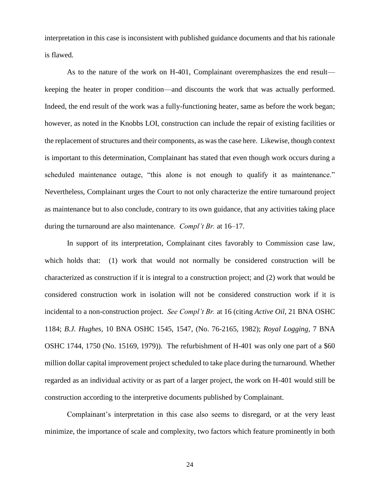interpretation in this case is inconsistent with published guidance documents and that his rationale is flawed.

As to the nature of the work on H-401, Complainant overemphasizes the end result keeping the heater in proper condition—and discounts the work that was actually performed. Indeed, the end result of the work was a fully-functioning heater, same as before the work began; however, as noted in the Knobbs LOI, construction can include the repair of existing facilities or the replacement of structures and their components, as was the case here. Likewise, though context is important to this determination, Complainant has stated that even though work occurs during a scheduled maintenance outage, "this alone is not enough to qualify it as maintenance." Nevertheless, Complainant urges the Court to not only characterize the entire turnaround project as maintenance but to also conclude, contrary to its own guidance, that any activities taking place during the turnaround are also maintenance. *Compl't Br.* at 16–17.

In support of its interpretation, Complainant cites favorably to Commission case law, which holds that: (1) work that would not normally be considered construction will be characterized as construction if it is integral to a construction project; and (2) work that would be considered construction work in isolation will not be considered construction work if it is incidental to a non-construction project. *See Compl't Br.* at 16 (citing *Active Oil*, 21 BNA OSHC 1184; *B.J. Hughes*, 10 BNA OSHC 1545, 1547, (No. 76-2165, 1982); *Royal Logging*, 7 BNA OSHC 1744, 1750 (No. 15169, 1979)). The refurbishment of H-401 was only one part of a \$60 million dollar capital improvement project scheduled to take place during the turnaround. Whether regarded as an individual activity or as part of a larger project, the work on H-401 would still be construction according to the interpretive documents published by Complainant.

Complainant's interpretation in this case also seems to disregard, or at the very least minimize, the importance of scale and complexity, two factors which feature prominently in both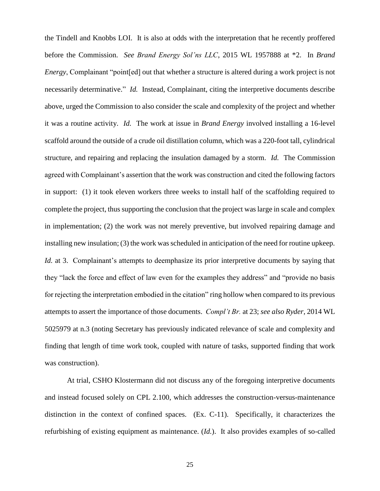the Tindell and Knobbs LOI. It is also at odds with the interpretation that he recently proffered before the Commission. *See Brand Energy Sol'ns LLC*, 2015 WL 1957888 at \*2. In *Brand Energy*, Complainant "point[ed] out that whether a structure is altered during a work project is not necessarily determinative." *Id.* Instead, Complainant, citing the interpretive documents describe above, urged the Commission to also consider the scale and complexity of the project and whether it was a routine activity. *Id.* The work at issue in *Brand Energy* involved installing a 16-level scaffold around the outside of a crude oil distillation column, which was a 220-foot tall, cylindrical structure, and repairing and replacing the insulation damaged by a storm. *Id.* The Commission agreed with Complainant's assertion that the work was construction and cited the following factors in support: (1) it took eleven workers three weeks to install half of the scaffolding required to complete the project, thus supporting the conclusion that the project was large in scale and complex in implementation; (2) the work was not merely preventive, but involved repairing damage and installing new insulation; (3) the work was scheduled in anticipation of the need for routine upkeep. *Id.* at 3. Complainant's attempts to deemphasize its prior interpretive documents by saying that they "lack the force and effect of law even for the examples they address" and "provide no basis for rejecting the interpretation embodied in the citation" ring hollow when compared to its previous attempts to assert the importance of those documents. *Compl't Br.* at 23; *see also Ryder*, 2014 WL 5025979 at n.3 (noting Secretary has previously indicated relevance of scale and complexity and finding that length of time work took, coupled with nature of tasks, supported finding that work was construction).

At trial, CSHO Klostermann did not discuss any of the foregoing interpretive documents and instead focused solely on CPL 2.100, which addresses the construction-versus-maintenance distinction in the context of confined spaces. (Ex. C-11). Specifically, it characterizes the refurbishing of existing equipment as maintenance. (*Id.*). It also provides examples of so-called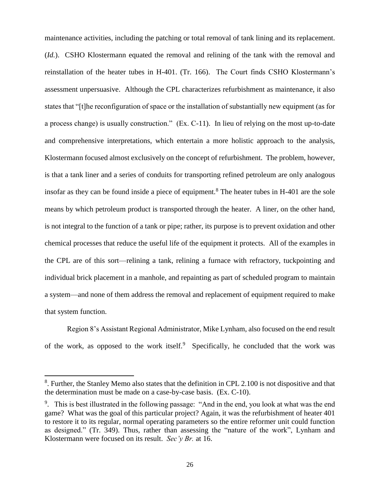maintenance activities, including the patching or total removal of tank lining and its replacement. (*Id.*). CSHO Klostermann equated the removal and relining of the tank with the removal and reinstallation of the heater tubes in H-401. (Tr. 166). The Court finds CSHO Klostermann's assessment unpersuasive. Although the CPL characterizes refurbishment as maintenance, it also states that "[t]he reconfiguration of space or the installation of substantially new equipment (as for a process change) is usually construction." (Ex. C-11). In lieu of relying on the most up-to-date and comprehensive interpretations, which entertain a more holistic approach to the analysis, Klostermann focused almost exclusively on the concept of refurbishment. The problem, however, is that a tank liner and a series of conduits for transporting refined petroleum are only analogous insofar as they can be found inside a piece of equipment.<sup>8</sup> The heater tubes in H-401 are the sole means by which petroleum product is transported through the heater. A liner, on the other hand, is not integral to the function of a tank or pipe; rather, its purpose is to prevent oxidation and other chemical processes that reduce the useful life of the equipment it protects. All of the examples in the CPL are of this sort—relining a tank, relining a furnace with refractory, tuckpointing and individual brick placement in a manhole, and repainting as part of scheduled program to maintain a system—and none of them address the removal and replacement of equipment required to make that system function.

Region 8's Assistant Regional Administrator, Mike Lynham, also focused on the end result of the work, as opposed to the work itself.<sup>9</sup> Specifically, he concluded that the work was

 $\overline{a}$ 

<sup>&</sup>lt;sup>8</sup>. Further, the Stanley Memo also states that the definition in CPL 2.100 is not dispositive and that the determination must be made on a case-by-case basis. (Ex. C-10).

<sup>&</sup>lt;sup>9</sup>. This is best illustrated in the following passage: "And in the end, you look at what was the end game? What was the goal of this particular project? Again, it was the refurbishment of heater 401 to restore it to its regular, normal operating parameters so the entire reformer unit could function as designed." (Tr. 349). Thus, rather than assessing the "nature of the work", Lynham and Klostermann were focused on its result. *Sec'y Br.* at 16.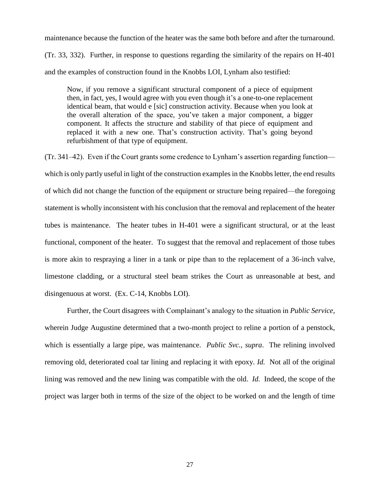maintenance because the function of the heater was the same both before and after the turnaround. (Tr. 33, 332). Further, in response to questions regarding the similarity of the repairs on H-401 and the examples of construction found in the Knobbs LOI, Lynham also testified:

Now, if you remove a significant structural component of a piece of equipment then, in fact, yes, I would agree with you even though it's a one-to-one replacement identical beam, that would e [sic] construction activity. Because when you look at the overall alteration of the space, you've taken a major component, a bigger component. It affects the structure and stability of that piece of equipment and replaced it with a new one. That's construction activity. That's going beyond refurbishment of that type of equipment.

(Tr. 341–42). Even if the Court grants some credence to Lynham's assertion regarding function which is only partly useful in light of the construction examples in the Knobbs letter, the end results of which did not change the function of the equipment or structure being repaired—the foregoing statement is wholly inconsistent with his conclusion that the removal and replacement of the heater tubes is maintenance. The heater tubes in H-401 were a significant structural, or at the least functional, component of the heater. To suggest that the removal and replacement of those tubes is more akin to respraying a liner in a tank or pipe than to the replacement of a 36-inch valve, limestone cladding, or a structural steel beam strikes the Court as unreasonable at best, and disingenuous at worst. (Ex. C-14, Knobbs LOI).

Further, the Court disagrees with Complainant's analogy to the situation in *Public Service*, wherein Judge Augustine determined that a two-month project to reline a portion of a penstock, which is essentially a large pipe, was maintenance. *Public Svc.*, *supra*. The relining involved removing old, deteriorated coal tar lining and replacing it with epoxy. *Id.* Not all of the original lining was removed and the new lining was compatible with the old. *Id.* Indeed, the scope of the project was larger both in terms of the size of the object to be worked on and the length of time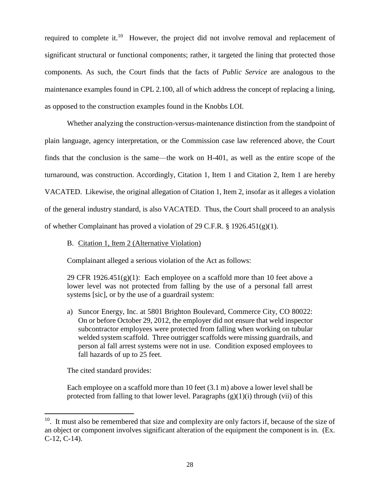required to complete it.<sup>10</sup> However, the project did not involve removal and replacement of significant structural or functional components; rather, it targeted the lining that protected those components. As such, the Court finds that the facts of *Public Service* are analogous to the maintenance examples found in CPL 2.100, all of which address the concept of replacing a lining, as opposed to the construction examples found in the Knobbs LOI.

Whether analyzing the construction-versus-maintenance distinction from the standpoint of plain language, agency interpretation, or the Commission case law referenced above, the Court finds that the conclusion is the same—the work on H-401, as well as the entire scope of the turnaround, was construction. Accordingly, Citation 1, Item 1 and Citation 2, Item 1 are hereby VACATED. Likewise, the original allegation of Citation 1, Item 2, insofar as it alleges a violation of the general industry standard, is also VACATED. Thus, the Court shall proceed to an analysis of whether Complainant has proved a violation of 29 C.F.R. § 1926.451(g)(1).

B. Citation 1, Item 2 (Alternative Violation)

Complainant alleged a serious violation of the Act as follows:

29 CFR  $1926.451(g)(1)$ : Each employee on a scaffold more than 10 feet above a lower level was not protected from falling by the use of a personal fall arrest systems [sic], or by the use of a guardrail system:

a) Suncor Energy, Inc. at 5801 Brighton Boulevard, Commerce City, CO 80022: On or before October 29, 2012, the employer did not ensure that weld inspector subcontractor employees were protected from falling when working on tubular welded system scaffold. Three outrigger scaffolds were missing guardrails, and person al fall arrest systems were not in use. Condition exposed employees to fall hazards of up to 25 feet.

The cited standard provides:

l

Each employee on a scaffold more than 10 feet (3.1 m) above a lower level shall be protected from falling to that lower level. Paragraphs  $(g)(1)(i)$  through (vii) of this

 $10$ . It must also be remembered that size and complexity are only factors if, because of the size of an object or component involves significant alteration of the equipment the component is in. (Ex. C-12, C-14).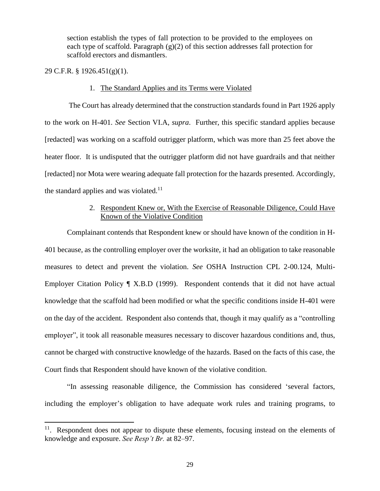section establish the types of fall protection to be provided to the employees on each type of scaffold. Paragraph  $(g)(2)$  of this section addresses fall protection for scaffold erectors and dismantlers.

29 C.F.R. § 1926.451(g)(1).

 $\overline{a}$ 

#### 1. The Standard Applies and its Terms were Violated

The Court has already determined that the construction standards found in Part 1926 apply to the work on H-401. *See* Section VI.A, *supra*. Further, this specific standard applies because [redacted] was working on a scaffold outrigger platform, which was more than 25 feet above the heater floor. It is undisputed that the outrigger platform did not have guardrails and that neither [redacted] nor Mota were wearing adequate fall protection for the hazards presented. Accordingly, the standard applies and was violated.<sup>11</sup>

## 2. Respondent Knew or, With the Exercise of Reasonable Diligence, Could Have Known of the Violative Condition

Complainant contends that Respondent knew or should have known of the condition in H-401 because, as the controlling employer over the worksite, it had an obligation to take reasonable measures to detect and prevent the violation. *See* OSHA Instruction CPL 2-00.124, Multi-Employer Citation Policy ¶ X.B.D (1999). Respondent contends that it did not have actual knowledge that the scaffold had been modified or what the specific conditions inside H-401 were on the day of the accident. Respondent also contends that, though it may qualify as a "controlling employer", it took all reasonable measures necessary to discover hazardous conditions and, thus, cannot be charged with constructive knowledge of the hazards. Based on the facts of this case, the Court finds that Respondent should have known of the violative condition.

"In assessing reasonable diligence, the Commission has considered 'several factors, including the employer's obligation to have adequate work rules and training programs, to

<sup>&</sup>lt;sup>11</sup>. Respondent does not appear to dispute these elements, focusing instead on the elements of knowledge and exposure. *See Resp't Br.* at 82–97.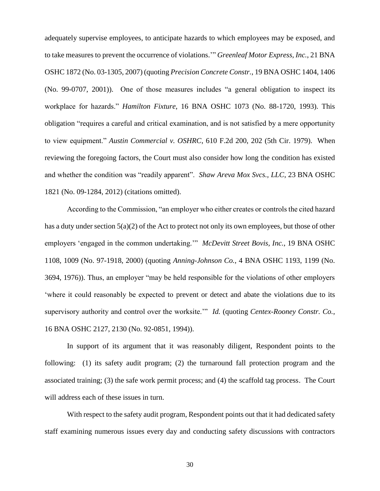adequately supervise employees, to anticipate hazards to which employees may be exposed, and to take measures to prevent the occurrence of violations.'" *Greenleaf Motor Express, Inc.*, 21 BNA OSHC 1872 (No. 03-1305, 2007) (quoting *Precision Concrete Constr.*, 19 BNA OSHC 1404, 1406 (No. 99-0707, 2001)). One of those measures includes "a general obligation to inspect its workplace for hazards." *Hamilton Fixture*, 16 BNA OSHC 1073 (No. 88-1720, 1993). This obligation "requires a careful and critical examination, and is not satisfied by a mere opportunity to view equipment." *Austin Commercial v. OSHRC*, 610 F.2d 200, 202 (5th Cir. 1979). When reviewing the foregoing factors, the Court must also consider how long the condition has existed and whether the condition was "readily apparent". *Shaw Areva Mox Svcs., LLC*, 23 BNA OSHC 1821 (No. 09-1284, 2012) (citations omitted).

According to the Commission, "an employer who either creates or controls the cited hazard has a duty under section 5(a)(2) of the Act to protect not only its own employees, but those of other employers 'engaged in the common undertaking.'" *McDevitt Street Bovis, Inc.*, 19 BNA OSHC 1108, 1009 (No. 97-1918, 2000) (quoting *Anning-Johnson Co.*, 4 BNA OSHC 1193, 1199 (No. 3694, 1976)). Thus, an employer "may be held responsible for the violations of other employers 'where it could reasonably be expected to prevent or detect and abate the violations due to its supervisory authority and control over the worksite.'" *Id.* (quoting *Centex-Rooney Constr. Co.*, 16 BNA OSHC 2127, 2130 (No. 92-0851, 1994)).

In support of its argument that it was reasonably diligent, Respondent points to the following: (1) its safety audit program; (2) the turnaround fall protection program and the associated training; (3) the safe work permit process; and (4) the scaffold tag process. The Court will address each of these issues in turn.

With respect to the safety audit program, Respondent points out that it had dedicated safety staff examining numerous issues every day and conducting safety discussions with contractors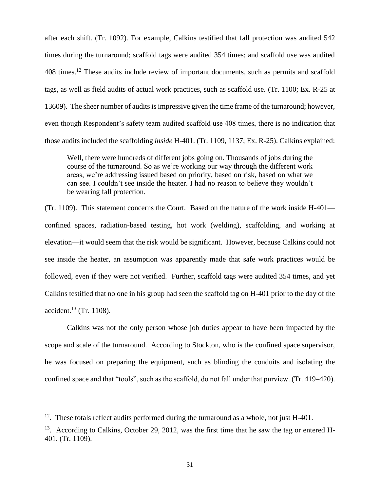after each shift. (Tr. 1092). For example, Calkins testified that fall protection was audited 542 times during the turnaround; scaffold tags were audited 354 times; and scaffold use was audited 408 times.<sup>12</sup> These audits include review of important documents, such as permits and scaffold tags, as well as field audits of actual work practices, such as scaffold use. (Tr. 1100; Ex. R-25 at 13609). The sheer number of audits is impressive given the time frame of the turnaround; however, even though Respondent's safety team audited scaffold use 408 times, there is no indication that those audits included the scaffolding *inside* H-401. (Tr. 1109, 1137; Ex. R-25). Calkins explained:

Well, there were hundreds of different jobs going on. Thousands of jobs during the course of the turnaround. So as we're working our way through the different work areas, we're addressing issued based on priority, based on risk, based on what we can see. I couldn't see inside the heater. I had no reason to believe they wouldn't be wearing fall protection.

(Tr. 1109). This statement concerns the Court. Based on the nature of the work inside H-401 confined spaces, radiation-based testing, hot work (welding), scaffolding, and working at elevation—it would seem that the risk would be significant. However, because Calkins could not see inside the heater, an assumption was apparently made that safe work practices would be followed, even if they were not verified. Further, scaffold tags were audited 354 times, and yet Calkins testified that no one in his group had seen the scaffold tag on H-401 prior to the day of the accident. $^{13}$  (Tr. 1108).

Calkins was not the only person whose job duties appear to have been impacted by the scope and scale of the turnaround. According to Stockton, who is the confined space supervisor, he was focused on preparing the equipment, such as blinding the conduits and isolating the confined space and that "tools", such as the scaffold, do not fall under that purview. (Tr. 419–420).

l

 $12$ . These totals reflect audits performed during the turnaround as a whole, not just H-401.

 $13.$  According to Calkins, October 29, 2012, was the first time that he saw the tag or entered H-401. (Tr. 1109).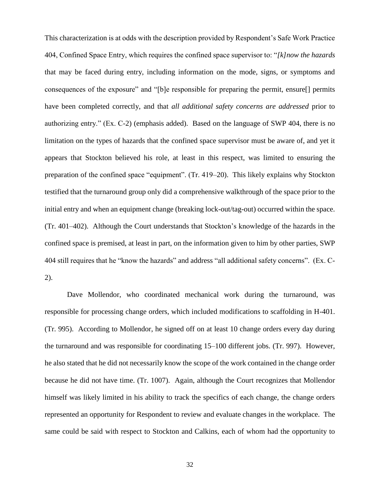This characterization is at odds with the description provided by Respondent's Safe Work Practice 404, Confined Space Entry, which requires the confined space supervisor to: "*[k]now the hazards*  that may be faced during entry, including information on the mode, signs, or symptoms and consequences of the exposure" and "[b]e responsible for preparing the permit, ensure[] permits have been completed correctly, and that *all additional safety concerns are addressed* prior to authorizing entry." (Ex. C-2) (emphasis added). Based on the language of SWP 404, there is no limitation on the types of hazards that the confined space supervisor must be aware of, and yet it appears that Stockton believed his role, at least in this respect, was limited to ensuring the preparation of the confined space "equipment". (Tr. 419–20). This likely explains why Stockton testified that the turnaround group only did a comprehensive walkthrough of the space prior to the initial entry and when an equipment change (breaking lock-out/tag-out) occurred within the space. (Tr. 401–402). Although the Court understands that Stockton's knowledge of the hazards in the confined space is premised, at least in part, on the information given to him by other parties, SWP 404 still requires that he "know the hazards" and address "all additional safety concerns". (Ex. C-2).

Dave Mollendor, who coordinated mechanical work during the turnaround, was responsible for processing change orders, which included modifications to scaffolding in H-401. (Tr. 995). According to Mollendor, he signed off on at least 10 change orders every day during the turnaround and was responsible for coordinating 15–100 different jobs. (Tr. 997). However, he also stated that he did not necessarily know the scope of the work contained in the change order because he did not have time. (Tr. 1007). Again, although the Court recognizes that Mollendor himself was likely limited in his ability to track the specifics of each change, the change orders represented an opportunity for Respondent to review and evaluate changes in the workplace. The same could be said with respect to Stockton and Calkins, each of whom had the opportunity to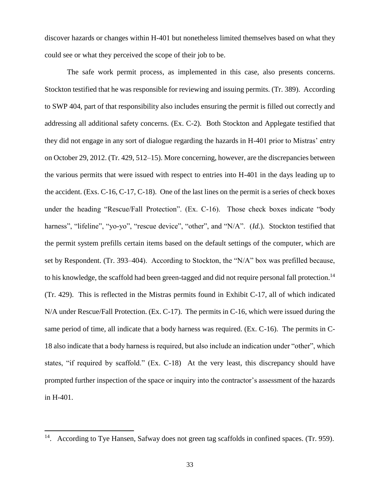discover hazards or changes within H-401 but nonetheless limited themselves based on what they could see or what they perceived the scope of their job to be.

The safe work permit process, as implemented in this case, also presents concerns. Stockton testified that he was responsible for reviewing and issuing permits. (Tr. 389). According to SWP 404, part of that responsibility also includes ensuring the permit is filled out correctly and addressing all additional safety concerns. (Ex. C-2). Both Stockton and Applegate testified that they did not engage in any sort of dialogue regarding the hazards in H-401 prior to Mistras' entry on October 29, 2012. (Tr. 429, 512–15). More concerning, however, are the discrepancies between the various permits that were issued with respect to entries into H-401 in the days leading up to the accident. (Exs. C-16, C-17, C-18). One of the last lines on the permit is a series of check boxes under the heading "Rescue/Fall Protection". (Ex. C-16). Those check boxes indicate "body harness", "lifeline", "yo-yo", "rescue device", "other", and "N/A". (*Id.*). Stockton testified that the permit system prefills certain items based on the default settings of the computer, which are set by Respondent. (Tr. 393–404). According to Stockton, the "N/A" box was prefilled because, to his knowledge, the scaffold had been green-tagged and did not require personal fall protection.<sup>14</sup> (Tr. 429). This is reflected in the Mistras permits found in Exhibit C-17, all of which indicated N/A under Rescue/Fall Protection. (Ex. C-17). The permits in C-16, which were issued during the same period of time, all indicate that a body harness was required. (Ex. C-16). The permits in C-18 also indicate that a body harness is required, but also include an indication under "other", which states, "if required by scaffold." (Ex. C-18) At the very least, this discrepancy should have prompted further inspection of the space or inquiry into the contractor's assessment of the hazards in H-401.

 $\overline{\phantom{a}}$ 

<sup>&</sup>lt;sup>14</sup>. According to Tye Hansen, Safway does not green tag scaffolds in confined spaces. (Tr. 959).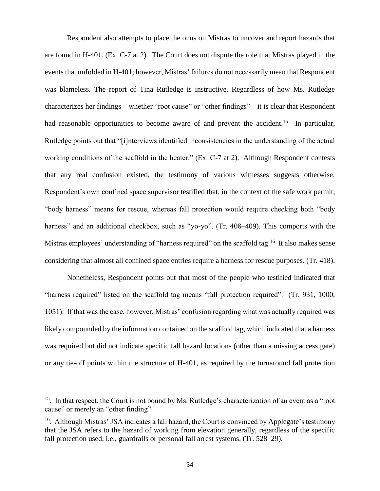Respondent also attempts to place the onus on Mistras to uncover and report hazards that are found in H-401. (Ex. C-7 at 2). The Court does not dispute the role that Mistras played in the events that unfolded in H-401; however, Mistras' failures do not necessarily mean that Respondent was blameless. The report of Tina Rutledge is instructive. Regardless of how Ms. Rutledge characterizes her findings—whether "root cause" or "other findings"—it is clear that Respondent had reasonable opportunities to become aware of and prevent the accident.<sup>15</sup> In particular, Rutledge points out that "[i]nterviews identified inconsistencies in the understanding of the actual working conditions of the scaffold in the heater." (Ex. C-7 at 2). Although Respondent contests that any real confusion existed, the testimony of various witnesses suggests otherwise. Respondent's own confined space supervisor testified that, in the context of the safe work permit, "body harness" means for rescue, whereas fall protection would require checking both "body harness" and an additional checkbox, such as "yo-yo". (Tr. 408–409). This comports with the Mistras employees' understanding of "harness required" on the scaffold tag.<sup>16</sup> It also makes sense considering that almost all confined space entries require a harness for rescue purposes. (Tr. 418).

Nonetheless, Respondent points out that most of the people who testified indicated that "harness required" listed on the scaffold tag means "fall protection required". (Tr. 931, 1000, 1051). If that was the case, however, Mistras' confusion regarding what was actually required was likely compounded by the information contained on the scaffold tag, which indicated that a harness was required but did not indicate specific fall hazard locations (other than a missing access gate) or any tie-off points within the structure of H-401, as required by the turnaround fall protection

 $\overline{\phantom{a}}$ 

<sup>&</sup>lt;sup>15</sup>. In that respect, the Court is not bound by Ms. Rutledge's characterization of an event as a "root cause" or merely an "other finding".

<sup>&</sup>lt;sup>16</sup>. Although Mistras' JSA indicates a fall hazard, the Court is convinced by Applegate's testimony that the JSA refers to the hazard of working from elevation generally, regardless of the specific fall protection used, i.e., guardrails or personal fall arrest systems. (Tr. 528–29).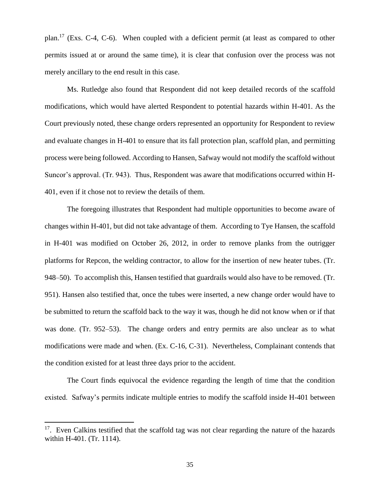plan.<sup>17</sup> (Exs. C-4, C-6). When coupled with a deficient permit (at least as compared to other permits issued at or around the same time), it is clear that confusion over the process was not merely ancillary to the end result in this case.

Ms. Rutledge also found that Respondent did not keep detailed records of the scaffold modifications, which would have alerted Respondent to potential hazards within H-401. As the Court previously noted, these change orders represented an opportunity for Respondent to review and evaluate changes in H-401 to ensure that its fall protection plan, scaffold plan, and permitting process were being followed. According to Hansen, Safway would not modify the scaffold without Suncor's approval. (Tr. 943). Thus, Respondent was aware that modifications occurred within H-401, even if it chose not to review the details of them.

The foregoing illustrates that Respondent had multiple opportunities to become aware of changes within H-401, but did not take advantage of them. According to Tye Hansen, the scaffold in H-401 was modified on October 26, 2012, in order to remove planks from the outrigger platforms for Repcon, the welding contractor, to allow for the insertion of new heater tubes. (Tr. 948–50). To accomplish this, Hansen testified that guardrails would also have to be removed. (Tr. 951). Hansen also testified that, once the tubes were inserted, a new change order would have to be submitted to return the scaffold back to the way it was, though he did not know when or if that was done. (Tr. 952–53). The change orders and entry permits are also unclear as to what modifications were made and when. (Ex. C-16, C-31). Nevertheless, Complainant contends that the condition existed for at least three days prior to the accident.

The Court finds equivocal the evidence regarding the length of time that the condition existed. Safway's permits indicate multiple entries to modify the scaffold inside H-401 between

 $\overline{a}$ 

<sup>&</sup>lt;sup>17</sup>. Even Calkins testified that the scaffold tag was not clear regarding the nature of the hazards within H-401. (Tr. 1114).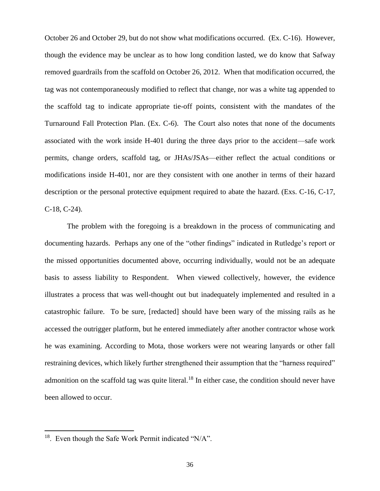October 26 and October 29, but do not show what modifications occurred. (Ex. C-16). However, though the evidence may be unclear as to how long condition lasted, we do know that Safway removed guardrails from the scaffold on October 26, 2012. When that modification occurred, the tag was not contemporaneously modified to reflect that change, nor was a white tag appended to the scaffold tag to indicate appropriate tie-off points, consistent with the mandates of the Turnaround Fall Protection Plan. (Ex. C-6). The Court also notes that none of the documents associated with the work inside H-401 during the three days prior to the accident—safe work permits, change orders, scaffold tag, or JHAs/JSAs—either reflect the actual conditions or modifications inside H-401, nor are they consistent with one another in terms of their hazard description or the personal protective equipment required to abate the hazard. (Exs. C-16, C-17, C-18, C-24).

The problem with the foregoing is a breakdown in the process of communicating and documenting hazards. Perhaps any one of the "other findings" indicated in Rutledge's report or the missed opportunities documented above, occurring individually, would not be an adequate basis to assess liability to Respondent. When viewed collectively, however, the evidence illustrates a process that was well-thought out but inadequately implemented and resulted in a catastrophic failure. To be sure, [redacted] should have been wary of the missing rails as he accessed the outrigger platform, but he entered immediately after another contractor whose work he was examining. According to Mota, those workers were not wearing lanyards or other fall restraining devices, which likely further strengthened their assumption that the "harness required" admonition on the scaffold tag was quite literal.<sup>18</sup> In either case, the condition should never have been allowed to occur.

 $\overline{\phantom{a}}$ 

 $18$ . Even though the Safe Work Permit indicated "N/A".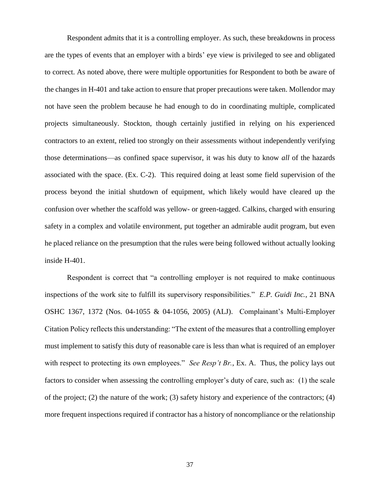Respondent admits that it is a controlling employer. As such, these breakdowns in process are the types of events that an employer with a birds' eye view is privileged to see and obligated to correct. As noted above, there were multiple opportunities for Respondent to both be aware of the changes in H-401 and take action to ensure that proper precautions were taken. Mollendor may not have seen the problem because he had enough to do in coordinating multiple, complicated projects simultaneously. Stockton, though certainly justified in relying on his experienced contractors to an extent, relied too strongly on their assessments without independently verifying those determinations—as confined space supervisor, it was his duty to know *all* of the hazards associated with the space. (Ex. C-2). This required doing at least some field supervision of the process beyond the initial shutdown of equipment, which likely would have cleared up the confusion over whether the scaffold was yellow- or green-tagged. Calkins, charged with ensuring safety in a complex and volatile environment, put together an admirable audit program, but even he placed reliance on the presumption that the rules were being followed without actually looking inside H-401.

Respondent is correct that "a controlling employer is not required to make continuous inspections of the work site to fulfill its supervisory responsibilities." *E.P. Guidi Inc.*, 21 BNA OSHC 1367, 1372 (Nos. 04-1055 & 04-1056, 2005) (ALJ). Complainant's Multi-Employer Citation Policy reflects this understanding: "The extent of the measures that a controlling employer must implement to satisfy this duty of reasonable care is less than what is required of an employer with respect to protecting its own employees." *See Resp't Br.*, Ex. A. Thus, the policy lays out factors to consider when assessing the controlling employer's duty of care, such as: (1) the scale of the project; (2) the nature of the work; (3) safety history and experience of the contractors; (4) more frequent inspections required if contractor has a history of noncompliance or the relationship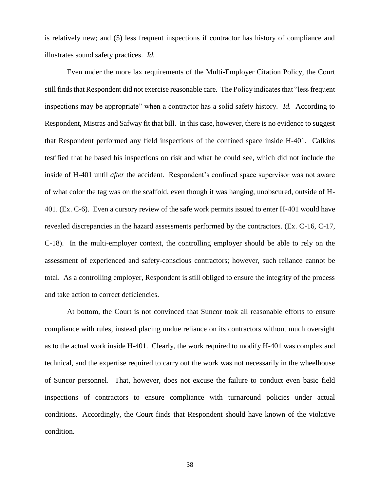is relatively new; and (5) less frequent inspections if contractor has history of compliance and illustrates sound safety practices. *Id.*

Even under the more lax requirements of the Multi-Employer Citation Policy, the Court still finds that Respondent did not exercise reasonable care. The Policy indicates that "less frequent inspections may be appropriate" when a contractor has a solid safety history. *Id.* According to Respondent, Mistras and Safway fit that bill. In this case, however, there is no evidence to suggest that Respondent performed any field inspections of the confined space inside H-401. Calkins testified that he based his inspections on risk and what he could see, which did not include the inside of H-401 until *after* the accident. Respondent's confined space supervisor was not aware of what color the tag was on the scaffold, even though it was hanging, unobscured, outside of H-401. (Ex. C-6). Even a cursory review of the safe work permits issued to enter H-401 would have revealed discrepancies in the hazard assessments performed by the contractors. (Ex. C-16, C-17, C-18). In the multi-employer context, the controlling employer should be able to rely on the assessment of experienced and safety-conscious contractors; however, such reliance cannot be total. As a controlling employer, Respondent is still obliged to ensure the integrity of the process and take action to correct deficiencies.

At bottom, the Court is not convinced that Suncor took all reasonable efforts to ensure compliance with rules, instead placing undue reliance on its contractors without much oversight as to the actual work inside H-401. Clearly, the work required to modify H-401 was complex and technical, and the expertise required to carry out the work was not necessarily in the wheelhouse of Suncor personnel. That, however, does not excuse the failure to conduct even basic field inspections of contractors to ensure compliance with turnaround policies under actual conditions. Accordingly, the Court finds that Respondent should have known of the violative condition.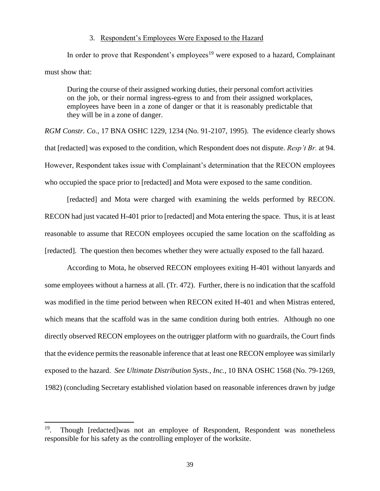#### 3. Respondent's Employees Were Exposed to the Hazard

In order to prove that Respondent's employees<sup>19</sup> were exposed to a hazard, Complainant must show that:

During the course of their assigned working duties, their personal comfort activities on the job, or their normal ingress-egress to and from their assigned workplaces, employees have been in a zone of danger or that it is reasonably predictable that they will be in a zone of danger.

*RGM Constr. Co.*, 17 BNA OSHC 1229, 1234 (No. 91-2107, 1995). The evidence clearly shows that [redacted] was exposed to the condition, which Respondent does not dispute. *Resp't Br.* at 94. However, Respondent takes issue with Complainant's determination that the RECON employees who occupied the space prior to [redacted] and Mota were exposed to the same condition.

[redacted] and Mota were charged with examining the welds performed by RECON. RECON had just vacated H-401 prior to [redacted] and Mota entering the space. Thus, it is at least reasonable to assume that RECON employees occupied the same location on the scaffolding as [redacted]. The question then becomes whether they were actually exposed to the fall hazard.

According to Mota, he observed RECON employees exiting H-401 without lanyards and some employees without a harness at all. (Tr. 472). Further, there is no indication that the scaffold was modified in the time period between when RECON exited H-401 and when Mistras entered, which means that the scaffold was in the same condition during both entries. Although no one directly observed RECON employees on the outrigger platform with no guardrails, the Court finds that the evidence permits the reasonable inference that at least one RECON employee was similarly exposed to the hazard. *See Ultimate Distribution Systs., Inc.*, 10 BNA OSHC 1568 (No. 79-1269, 1982) (concluding Secretary established violation based on reasonable inferences drawn by judge

 $\overline{a}$ 

<sup>&</sup>lt;sup>19</sup>. Though [redacted]was not an employee of Respondent, Respondent was nonetheless responsible for his safety as the controlling employer of the worksite.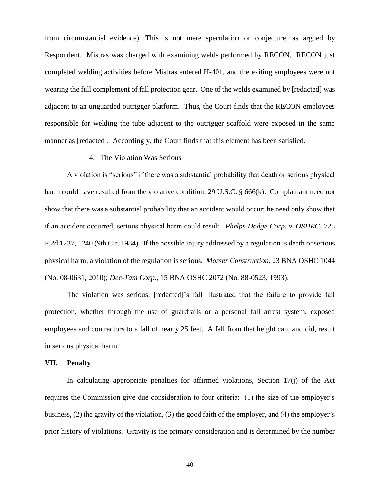from circumstantial evidence). This is not mere speculation or conjecture, as argued by Respondent. Mistras was charged with examining welds performed by RECON. RECON just completed welding activities before Mistras entered H-401, and the exiting employees were not wearing the full complement of fall protection gear. One of the welds examined by [redacted] was adjacent to an unguarded outrigger platform. Thus, the Court finds that the RECON employees responsible for welding the tube adjacent to the outrigger scaffold were exposed in the same manner as [redacted]. Accordingly, the Court finds that this element has been satisfied.

## 4. The Violation Was Serious

A violation is "serious" if there was a substantial probability that death or serious physical harm could have resulted from the violative condition. 29 U.S.C. § 666(k). Complainant need not show that there was a substantial probability that an accident would occur; he need only show that if an accident occurred, serious physical harm could result. *Phelps Dodge Corp. v. OSHRC*, 725 F.2d 1237, 1240 (9th Cir. 1984). If the possible injury addressed by a regulation is death or serious physical harm, a violation of the regulation is serious. *Mosser Construction*, 23 BNA OSHC 1044 (No. 08-0631, 2010); *Dec-Tam Corp*., 15 BNA OSHC 2072 (No. 88-0523, 1993).

The violation was serious. [redacted]'s fall illustrated that the failure to provide fall protection, whether through the use of guardrails or a personal fall arrest system, exposed employees and contractors to a fall of nearly 25 feet. A fall from that height can, and did, result in serious physical harm.

### **VII. Penalty**

In calculating appropriate penalties for affirmed violations, Section 17(j) of the Act requires the Commission give due consideration to four criteria: (1) the size of the employer's business, (2) the gravity of the violation, (3) the good faith of the employer, and (4) the employer's prior history of violations. Gravity is the primary consideration and is determined by the number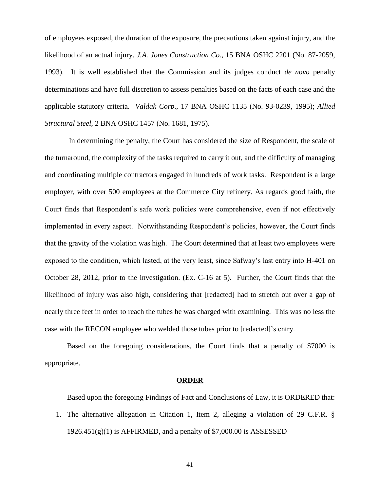of employees exposed, the duration of the exposure, the precautions taken against injury, and the likelihood of an actual injury. *J.A. Jones Construction Co.*, 15 BNA OSHC 2201 (No. 87-2059, 1993). It is well established that the Commission and its judges conduct *de novo* penalty determinations and have full discretion to assess penalties based on the facts of each case and the applicable statutory criteria. *Valdak Corp*., 17 BNA OSHC 1135 (No. 93-0239, 1995); *Allied Structural Steel*, 2 BNA OSHC 1457 (No. 1681, 1975).

In determining the penalty, the Court has considered the size of Respondent, the scale of the turnaround, the complexity of the tasks required to carry it out, and the difficulty of managing and coordinating multiple contractors engaged in hundreds of work tasks. Respondent is a large employer, with over 500 employees at the Commerce City refinery. As regards good faith, the Court finds that Respondent's safe work policies were comprehensive, even if not effectively implemented in every aspect. Notwithstanding Respondent's policies, however, the Court finds that the gravity of the violation was high. The Court determined that at least two employees were exposed to the condition, which lasted, at the very least, since Safway's last entry into H-401 on October 28, 2012, prior to the investigation. (Ex. C-16 at 5). Further, the Court finds that the likelihood of injury was also high, considering that [redacted] had to stretch out over a gap of nearly three feet in order to reach the tubes he was charged with examining. This was no less the case with the RECON employee who welded those tubes prior to [redacted]'s entry.

Based on the foregoing considerations, the Court finds that a penalty of \$7000 is appropriate.

#### **ORDER**

Based upon the foregoing Findings of Fact and Conclusions of Law, it is ORDERED that:

1. The alternative allegation in Citation 1, Item 2, alleging a violation of 29 C.F.R. §  $1926.451(g)(1)$  is AFFIRMED, and a penalty of \$7,000.00 is ASSESSED

41